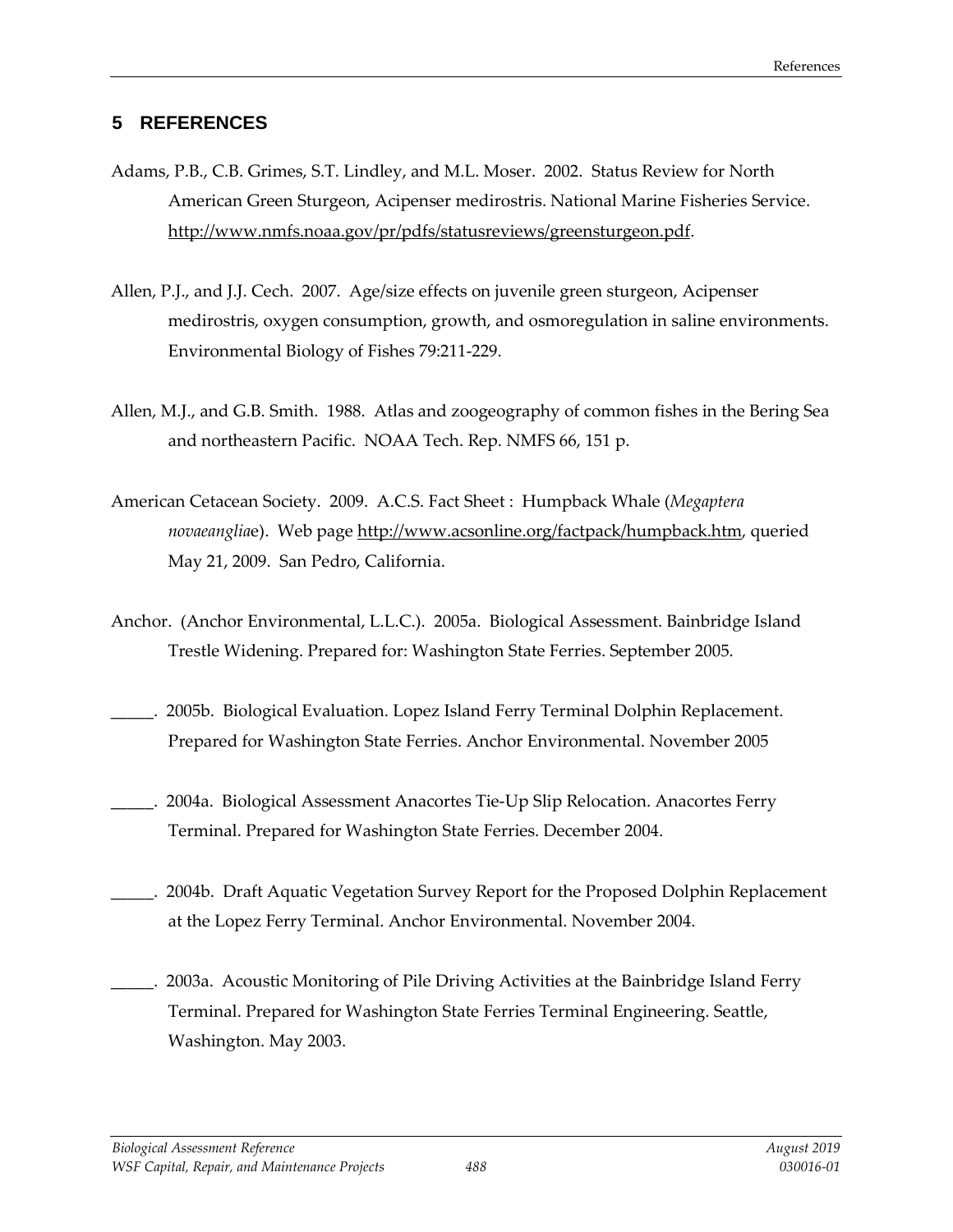## **5 REFERENCES**

- Adams, P.B., C.B. Grimes, S.T. Lindley, and M.L. Moser. 2002. Status Review for North American Green Sturgeon, Acipenser medirostris. National Marine Fisheries Service. [http://www.nmfs.noaa.gov/pr/pdfs/statusreviews/greensturgeon.pdf.](http://www.nmfs.noaa.gov/pr/pdfs/statusreviews/greensturgeon.pdf)
- Allen, P.J., and J.J. Cech. 2007. Age/size effects on juvenile green sturgeon, Acipenser medirostris, oxygen consumption, growth, and osmoregulation in saline environments. Environmental Biology of Fishes 79:211-229.
- Allen, M.J., and G.B. Smith. 1988. Atlas and zoogeography of common fishes in the Bering Sea and northeastern Pacific. NOAA Tech. Rep. NMFS 66, 151 p.
- American Cetacean Society. 2009. A.C.S. Fact Sheet : Humpback Whale (*Megaptera novaeanglia*e). Web page [http://www.acsonline.org/factpack/humpback.htm,](http://www.acsonline.org/factpack/humpback.htm) queried May 21, 2009. San Pedro, California.
- Anchor. (Anchor Environmental, L.L.C.). 2005a. Biological Assessment. Bainbridge Island Trestle Widening. Prepared for: Washington State Ferries. September 2005.
- \_\_\_\_\_. 2005b. Biological Evaluation. Lopez Island Ferry Terminal Dolphin Replacement. Prepared for Washington State Ferries. Anchor Environmental. November 2005
- \_\_\_\_\_. 2004a. Biological Assessment Anacortes Tie-Up Slip Relocation. Anacortes Ferry Terminal. Prepared for Washington State Ferries. December 2004.
- \_\_\_\_\_. 2004b. Draft Aquatic Vegetation Survey Report for the Proposed Dolphin Replacement at the Lopez Ferry Terminal. Anchor Environmental. November 2004.
- \_\_\_\_\_. 2003a. Acoustic Monitoring of Pile Driving Activities at the Bainbridge Island Ferry Terminal. Prepared for Washington State Ferries Terminal Engineering. Seattle, Washington. May 2003.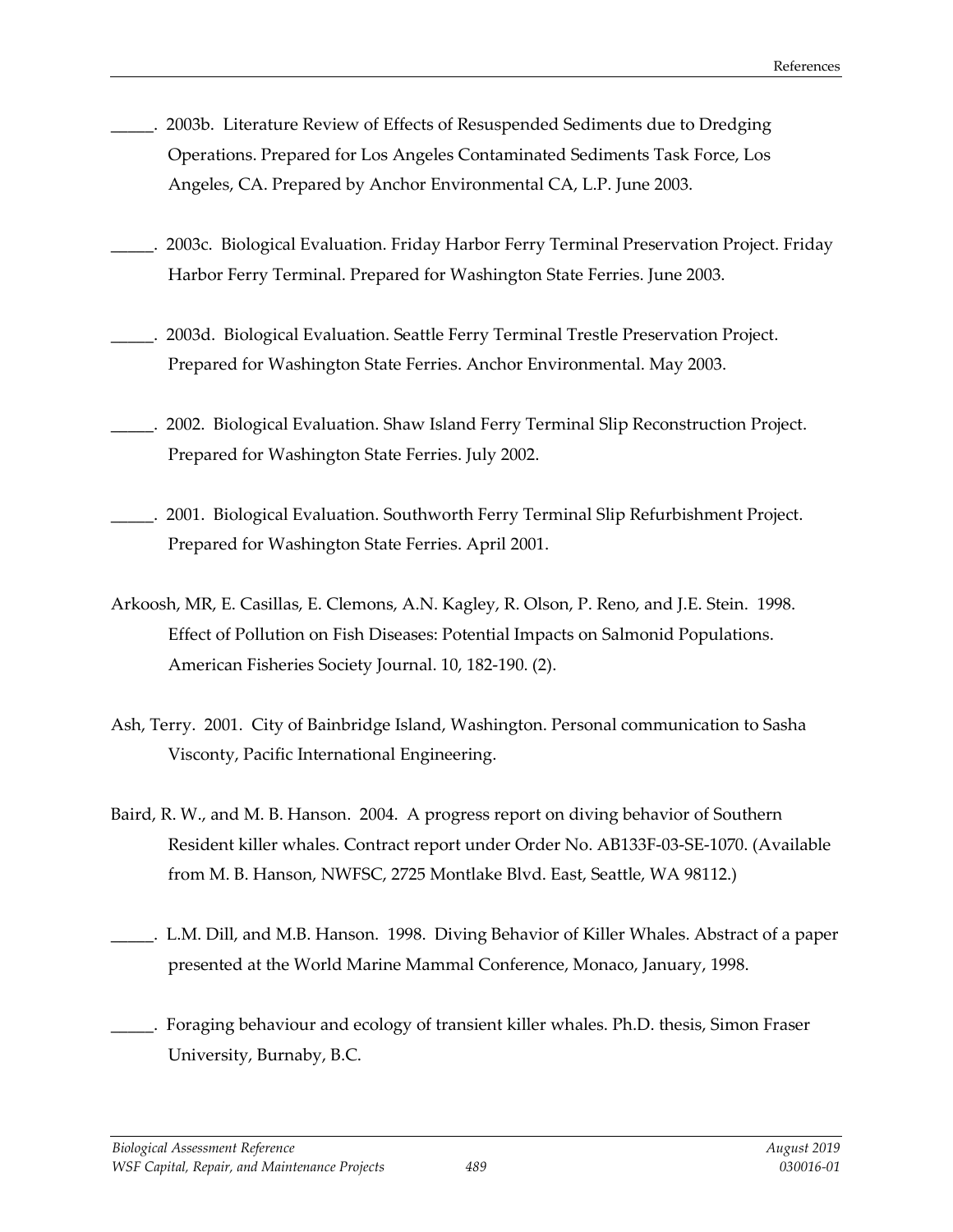- \_\_\_\_\_. 2003b. Literature Review of Effects of Resuspended Sediments due to Dredging Operations. Prepared for Los Angeles Contaminated Sediments Task Force, Los Angeles, CA. Prepared by Anchor Environmental CA, L.P. June 2003.
- \_\_\_\_\_. 2003c. Biological Evaluation. Friday Harbor Ferry Terminal Preservation Project. Friday Harbor Ferry Terminal. Prepared for Washington State Ferries. June 2003.
- \_\_\_\_\_. 2003d. Biological Evaluation. Seattle Ferry Terminal Trestle Preservation Project. Prepared for Washington State Ferries. Anchor Environmental. May 2003.
- \_\_\_\_\_. 2002. Biological Evaluation. Shaw Island Ferry Terminal Slip Reconstruction Project. Prepared for Washington State Ferries. July 2002.
- \_\_\_\_\_. 2001. Biological Evaluation. Southworth Ferry Terminal Slip Refurbishment Project. Prepared for Washington State Ferries. April 2001.
- Arkoosh, MR, E. Casillas, E. Clemons, A.N. Kagley, R. Olson, P. Reno, and J.E. Stein. 1998. Effect of Pollution on Fish Diseases: Potential Impacts on Salmonid Populations. American Fisheries Society Journal. 10, 182-190. (2).
- Ash, Terry. 2001. City of Bainbridge Island, Washington. Personal communication to Sasha Visconty, Pacific International Engineering.
- Baird, R. W., and M. B. Hanson. 2004. A progress report on diving behavior of Southern Resident killer whales. Contract report under Order No. AB133F-03-SE-1070. (Available from M. B. Hanson, NWFSC, 2725 Montlake Blvd. East, Seattle, WA 98112.)
- \_\_\_\_\_. L.M. Dill, and M.B. Hanson. 1998. Diving Behavior of Killer Whales. Abstract of a paper presented at the World Marine Mammal Conference, Monaco, January, 1998.
- Foraging behaviour and ecology of transient killer whales. Ph.D. thesis, Simon Fraser University, Burnaby, B.C.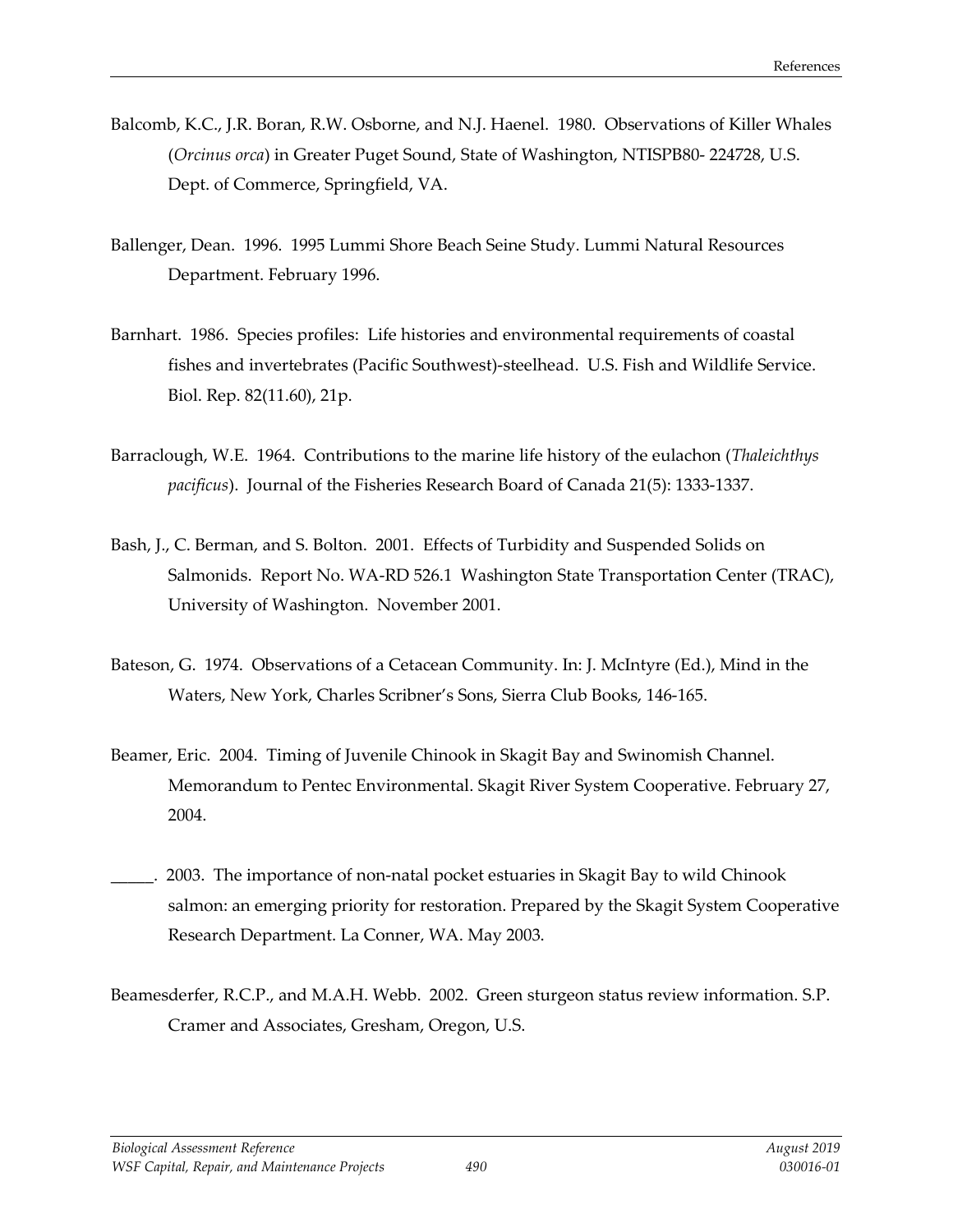- Balcomb, K.C., J.R. Boran, R.W. Osborne, and N.J. Haenel. 1980. Observations of Killer Whales (*Orcinus orca*) in Greater Puget Sound, State of Washington, NTISPB80- 224728, U.S. Dept. of Commerce, Springfield, VA.
- Ballenger, Dean. 1996. 1995 Lummi Shore Beach Seine Study. Lummi Natural Resources Department. February 1996.
- Barnhart. 1986. Species profiles: Life histories and environmental requirements of coastal fishes and invertebrates (Pacific Southwest)-steelhead. U.S. Fish and Wildlife Service. Biol. Rep. 82(11.60), 21p.
- Barraclough, W.E. 1964. Contributions to the marine life history of the eulachon (*Thaleichthys pacificus*). Journal of the Fisheries Research Board of Canada 21(5): 1333-1337.
- Bash, J., C. Berman, and S. Bolton. 2001. Effects of Turbidity and Suspended Solids on Salmonids. Report No. WA-RD 526.1 Washington State Transportation Center (TRAC), University of Washington. November 2001.
- Bateson, G. 1974. Observations of a Cetacean Community. In: J. McIntyre (Ed.), Mind in the Waters, New York, Charles Scribner's Sons, Sierra Club Books, 146-165.
- Beamer, Eric. 2004. Timing of Juvenile Chinook in Skagit Bay and Swinomish Channel. Memorandum to Pentec Environmental. Skagit River System Cooperative. February 27, 2004.
- \_\_\_\_\_. 2003. The importance of non-natal pocket estuaries in Skagit Bay to wild Chinook salmon: an emerging priority for restoration. Prepared by the Skagit System Cooperative Research Department. La Conner, WA. May 2003.
- Beamesderfer, R.C.P., and M.A.H. Webb. 2002. Green sturgeon status review information. S.P. Cramer and Associates, Gresham, Oregon, U.S.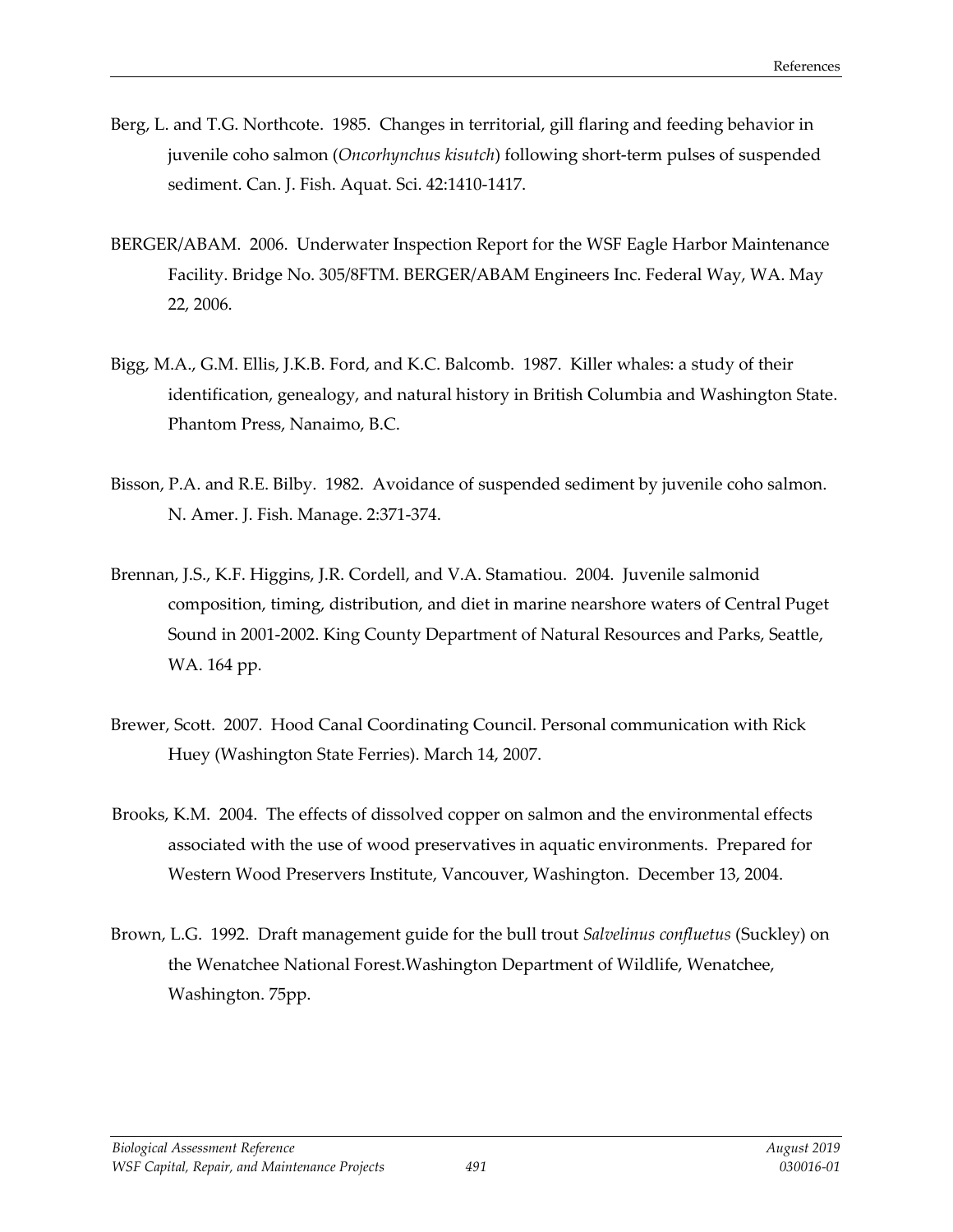- Berg, L. and T.G. Northcote. 1985. Changes in territorial, gill flaring and feeding behavior in juvenile coho salmon (*Oncorhynchus kisutch*) following short-term pulses of suspended sediment. Can. J. Fish. Aquat. Sci. 42:1410-1417.
- BERGER/ABAM. 2006. Underwater Inspection Report for the WSF Eagle Harbor Maintenance Facility. Bridge No. 305/8FTM. BERGER/ABAM Engineers Inc. Federal Way, WA. May 22, 2006.
- Bigg, M.A., G.M. Ellis, J.K.B. Ford, and K.C. Balcomb. 1987. Killer whales: a study of their identification, genealogy, and natural history in British Columbia and Washington State. Phantom Press, Nanaimo, B.C.
- Bisson, P.A. and R.E. Bilby. 1982. Avoidance of suspended sediment by juvenile coho salmon. N. Amer. J. Fish. Manage. 2:371-374.
- Brennan, J.S., K.F. Higgins, J.R. Cordell, and V.A. Stamatiou. 2004. Juvenile salmonid composition, timing, distribution, and diet in marine nearshore waters of Central Puget Sound in 2001-2002. King County Department of Natural Resources and Parks, Seattle, WA. 164 pp.
- Brewer, Scott. 2007. Hood Canal Coordinating Council. Personal communication with Rick Huey (Washington State Ferries). March 14, 2007.
- Brooks, K.M. 2004. The effects of dissolved copper on salmon and the environmental effects associated with the use of wood preservatives in aquatic environments. Prepared for Western Wood Preservers Institute, Vancouver, Washington. December 13, 2004.
- Brown, L.G. 1992. Draft management guide for the bull trout *Salvelinus confluetus* (Suckley) on the Wenatchee National Forest.Washington Department of Wildlife, Wenatchee, Washington. 75pp.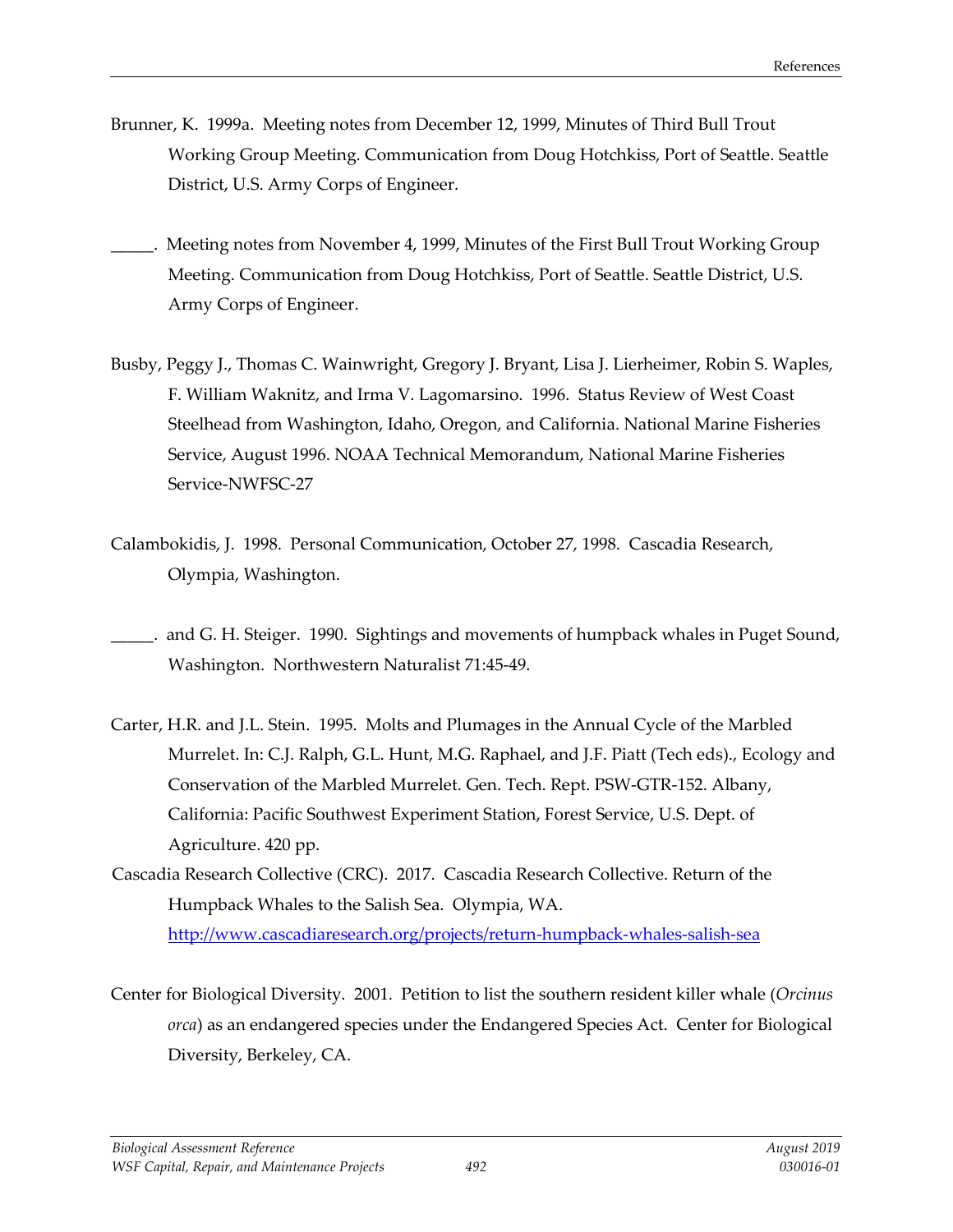- Brunner, K. 1999a. Meeting notes from December 12, 1999, Minutes of Third Bull Trout Working Group Meeting. Communication from Doug Hotchkiss, Port of Seattle. Seattle District, U.S. Army Corps of Engineer.
- Meeting notes from November 4, 1999, Minutes of the First Bull Trout Working Group Meeting. Communication from Doug Hotchkiss, Port of Seattle. Seattle District, U.S. Army Corps of Engineer.
- Busby, Peggy J., Thomas C. Wainwright, Gregory J. Bryant, Lisa J. Lierheimer, Robin S. Waples, F. William Waknitz, and Irma V. Lagomarsino. 1996. Status Review of West Coast Steelhead from Washington, Idaho, Oregon, and California. National Marine Fisheries Service, August 1996. NOAA Technical Memorandum, National Marine Fisheries Service-NWFSC-27
- Calambokidis, J. 1998. Personal Communication, October 27, 1998. Cascadia Research, Olympia, Washington.
- and G. H. Steiger. 1990. Sightings and movements of humpback whales in Puget Sound, Washington. Northwestern Naturalist 71:45-49.
- Carter, H.R. and J.L. Stein. 1995. Molts and Plumages in the Annual Cycle of the Marbled Murrelet. In: C.J. Ralph, G.L. Hunt, M.G. Raphael, and J.F. Piatt (Tech eds)., Ecology and Conservation of the Marbled Murrelet. Gen. Tech. Rept. PSW-GTR-152. Albany, California: Pacific Southwest Experiment Station, Forest Service, U.S. Dept. of Agriculture. 420 pp.
- Cascadia Research Collective (CRC). 2017. Cascadia Research Collective. Return of the Humpback Whales to the Salish Sea. Olympia, WA. <http://www.cascadiaresearch.org/projects/return-humpback-whales-salish-sea>
- Center for Biological Diversity. 2001. Petition to list the southern resident killer whale (*Orcinus orca*) as an endangered species under the Endangered Species Act. Center for Biological Diversity, Berkeley, CA.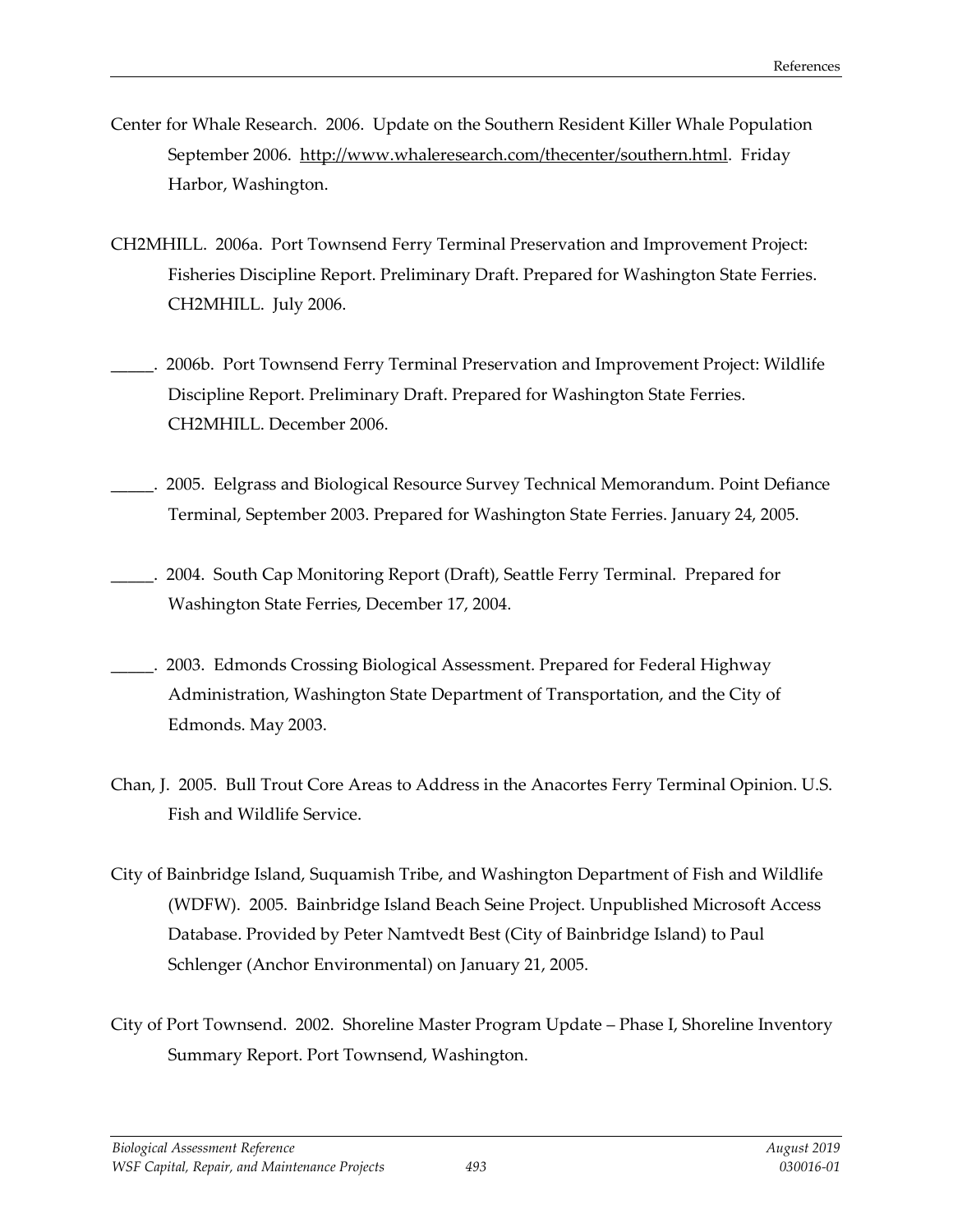- Center for Whale Research. 2006. Update on the Southern Resident Killer Whale Population September 2006. [http://www.whaleresearch.com/thecenter/southern.html.](http://www.whaleresearch.com/thecenter/southern.html) Friday Harbor, Washington.
- CH2MHILL. 2006a. Port Townsend Ferry Terminal Preservation and Improvement Project: Fisheries Discipline Report. Preliminary Draft. Prepared for Washington State Ferries. CH2MHILL. July 2006.
- \_\_\_\_\_. 2006b. Port Townsend Ferry Terminal Preservation and Improvement Project: Wildlife Discipline Report. Preliminary Draft. Prepared for Washington State Ferries. CH2MHILL. December 2006.
- \_\_\_\_\_. 2005. Eelgrass and Biological Resource Survey Technical Memorandum. Point Defiance Terminal, September 2003. Prepared for Washington State Ferries. January 24, 2005.
- \_\_\_\_\_. 2004. South Cap Monitoring Report (Draft), Seattle Ferry Terminal. Prepared for Washington State Ferries, December 17, 2004.
- \_\_\_\_\_. 2003. Edmonds Crossing Biological Assessment. Prepared for Federal Highway Administration, Washington State Department of Transportation, and the City of Edmonds. May 2003.
- Chan, J. 2005. Bull Trout Core Areas to Address in the Anacortes Ferry Terminal Opinion. U.S. Fish and Wildlife Service.
- City of Bainbridge Island, Suquamish Tribe, and Washington Department of Fish and Wildlife (WDFW). 2005. Bainbridge Island Beach Seine Project. Unpublished Microsoft Access Database. Provided by Peter Namtvedt Best (City of Bainbridge Island) to Paul Schlenger (Anchor Environmental) on January 21, 2005.
- City of Port Townsend. 2002. Shoreline Master Program Update Phase I, Shoreline Inventory Summary Report. Port Townsend, Washington.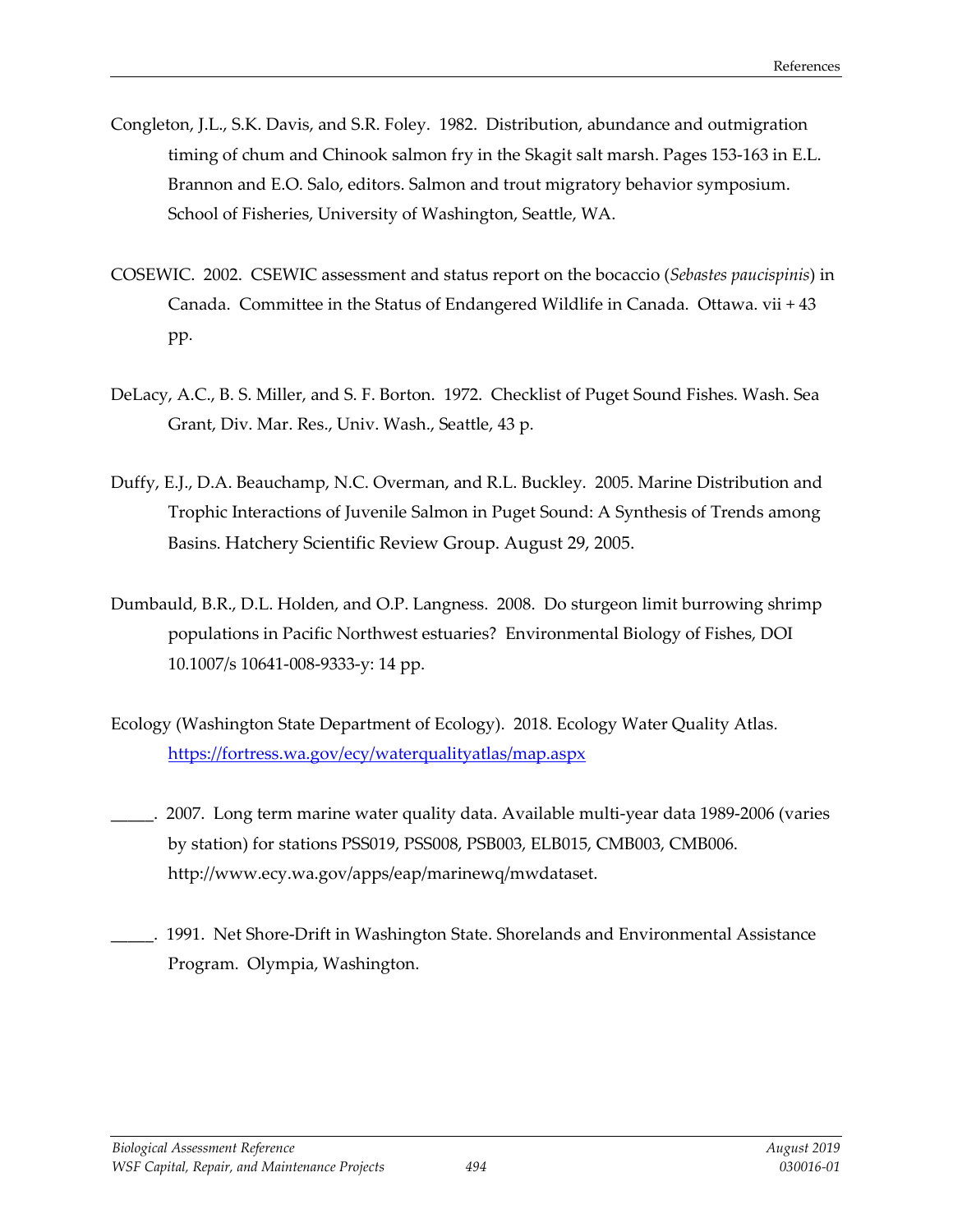- Congleton, J.L., S.K. Davis, and S.R. Foley. 1982. Distribution, abundance and outmigration timing of chum and Chinook salmon fry in the Skagit salt marsh. Pages 153-163 in E.L. Brannon and E.O. Salo, editors. Salmon and trout migratory behavior symposium. School of Fisheries, University of Washington, Seattle, WA.
- COSEWIC. 2002. CSEWIC assessment and status report on the bocaccio (*Sebastes paucispinis*) in Canada. Committee in the Status of Endangered Wildlife in Canada. Ottawa. vii + 43 pp.
- DeLacy, A.C., B. S. Miller, and S. F. Borton. 1972. Checklist of Puget Sound Fishes. Wash. Sea Grant, Div. Mar. Res., Univ. Wash., Seattle, 43 p.
- Duffy, E.J., D.A. Beauchamp, N.C. Overman, and R.L. Buckley. 2005. Marine Distribution and Trophic Interactions of Juvenile Salmon in Puget Sound: A Synthesis of Trends among Basins. Hatchery Scientific Review Group. August 29, 2005.
- Dumbauld, B.R., D.L. Holden, and O.P. Langness. 2008. Do sturgeon limit burrowing shrimp populations in Pacific Northwest estuaries? Environmental Biology of Fishes, DOI 10.1007/s 10641-008-9333-y: 14 pp.
- Ecology (Washington State Department of Ecology). 2018. Ecology Water Quality Atlas. <https://fortress.wa.gov/ecy/waterqualityatlas/map.aspx>
	- 2007. Long term marine water quality data. Available multi-year data 1989-2006 (varies by station) for stations PSS019, PSS008, PSB003, ELB015, CMB003, CMB006. [http://www.ecy.wa.gov/apps/eap/marinewq/mwdataset.](http://www.ecy.wa.gov/apps/eap/marinewq/mwdataset)
- \_\_\_\_\_. 1991. Net Shore-Drift in Washington State. Shorelands and Environmental Assistance Program. Olympia, Washington.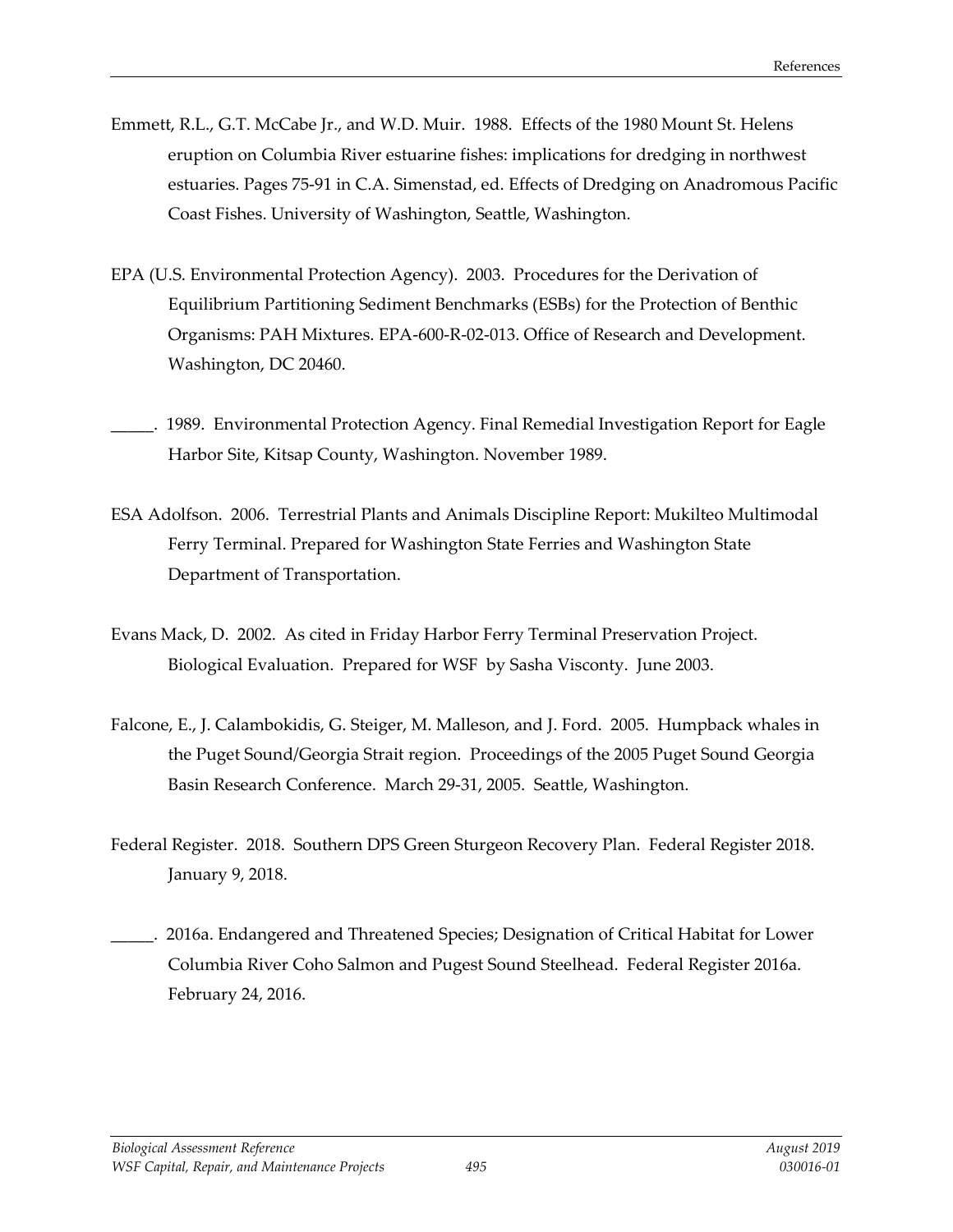- Emmett, R.L., G.T. McCabe Jr., and W.D. Muir. 1988. Effects of the 1980 Mount St. Helens eruption on Columbia River estuarine fishes: implications for dredging in northwest estuaries. Pages 75-91 in C.A. Simenstad, ed. Effects of Dredging on Anadromous Pacific Coast Fishes. University of Washington, Seattle, Washington.
- EPA (U.S. Environmental Protection Agency). 2003. Procedures for the Derivation of Equilibrium Partitioning Sediment Benchmarks (ESBs) for the Protection of Benthic Organisms: PAH Mixtures. EPA-600-R-02-013. Office of Research and Development. Washington, DC 20460.
- 1989. Environmental Protection Agency. Final Remedial Investigation Report for Eagle Harbor Site, Kitsap County, Washington. November 1989.
- ESA Adolfson. 2006. Terrestrial Plants and Animals Discipline Report: Mukilteo Multimodal Ferry Terminal. Prepared for Washington State Ferries and Washington State Department of Transportation.
- Evans Mack, D. 2002. As cited in Friday Harbor Ferry Terminal Preservation Project. Biological Evaluation. Prepared for WSF by Sasha Visconty. June 2003.
- Falcone, E., J. Calambokidis, G. Steiger, M. Malleson, and J. Ford. 2005. Humpback whales in the Puget Sound/Georgia Strait region. Proceedings of the 2005 Puget Sound Georgia Basin Research Conference. March 29-31, 2005. Seattle, Washington.
- Federal Register. 2018. Southern DPS Green Sturgeon Recovery Plan. Federal Register 2018. January 9, 2018.
- \_\_\_\_\_. 2016a. Endangered and Threatened Species; Designation of Critical Habitat for Lower Columbia River Coho Salmon and Pugest Sound Steelhead. Federal Register 2016a. February 24, 2016.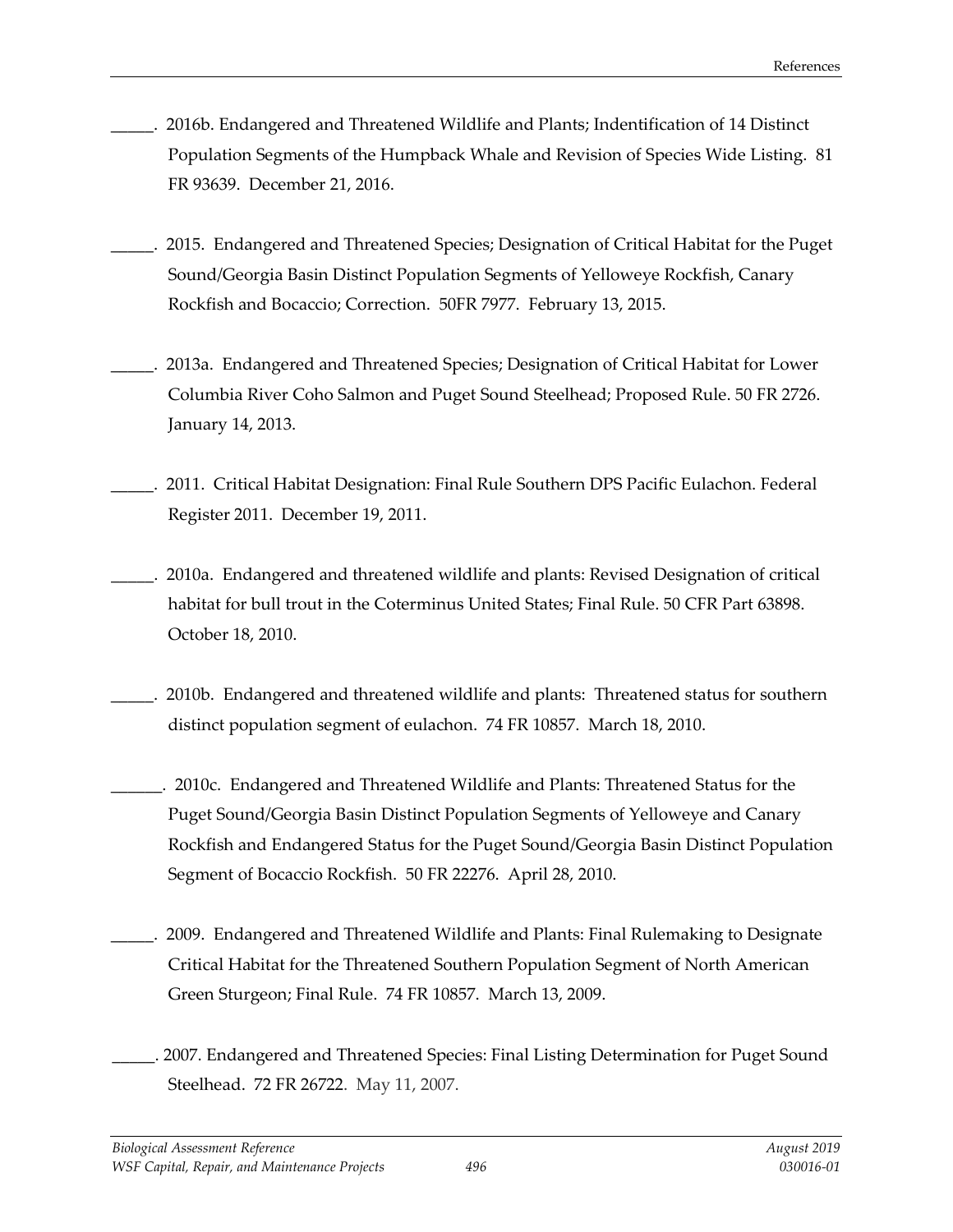- \_\_\_\_\_. 2016b. Endangered and Threatened Wildlife and Plants; Indentification of 14 Distinct Population Segments of the Humpback Whale and Revision of Species Wide Listing. 81 FR 93639. December 21, 2016.
- \_\_\_\_\_. 2015. Endangered and Threatened Species; Designation of Critical Habitat for the Puget Sound/Georgia Basin Distinct Population Segments of Yelloweye Rockfish, Canary Rockfish and Bocaccio; Correction. 50FR 7977. February 13, 2015.
- \_\_\_\_\_. 2013a. Endangered and Threatened Species; Designation of Critical Habitat for Lower Columbia River Coho Salmon and Puget Sound Steelhead; Proposed Rule. 50 FR 2726. January 14, 2013.
- \_\_\_\_\_. 2011. Critical Habitat Designation: Final Rule Southern DPS Pacific Eulachon. Federal Register 2011. December 19, 2011.
- \_\_\_\_\_. 2010a. Endangered and threatened wildlife and plants: Revised Designation of critical habitat for bull trout in the Coterminus United States; Final Rule. 50 CFR Part 63898. October 18, 2010.
- \_\_\_\_\_. 2010b. Endangered and threatened wildlife and plants: Threatened status for southern distinct population segment of eulachon. 74 FR 10857. March 18, 2010.
- \_\_\_\_\_\_. 2010c. Endangered and Threatened Wildlife and Plants: Threatened Status for the Puget Sound/Georgia Basin Distinct Population Segments of Yelloweye and Canary Rockfish and Endangered Status for the Puget Sound/Georgia Basin Distinct Population Segment of Bocaccio Rockfish. 50 FR 22276. April 28, 2010.
- \_\_\_\_\_. 2009. Endangered and Threatened Wildlife and Plants: Final Rulemaking to Designate Critical Habitat for the Threatened Southern Population Segment of North American Green Sturgeon; Final Rule. 74 FR 10857. March 13, 2009.
- \_\_\_\_\_. 2007. Endangered and Threatened Species: Final Listing Determination for Puget Sound Steelhead. 72 FR 26722. May 11, 2007.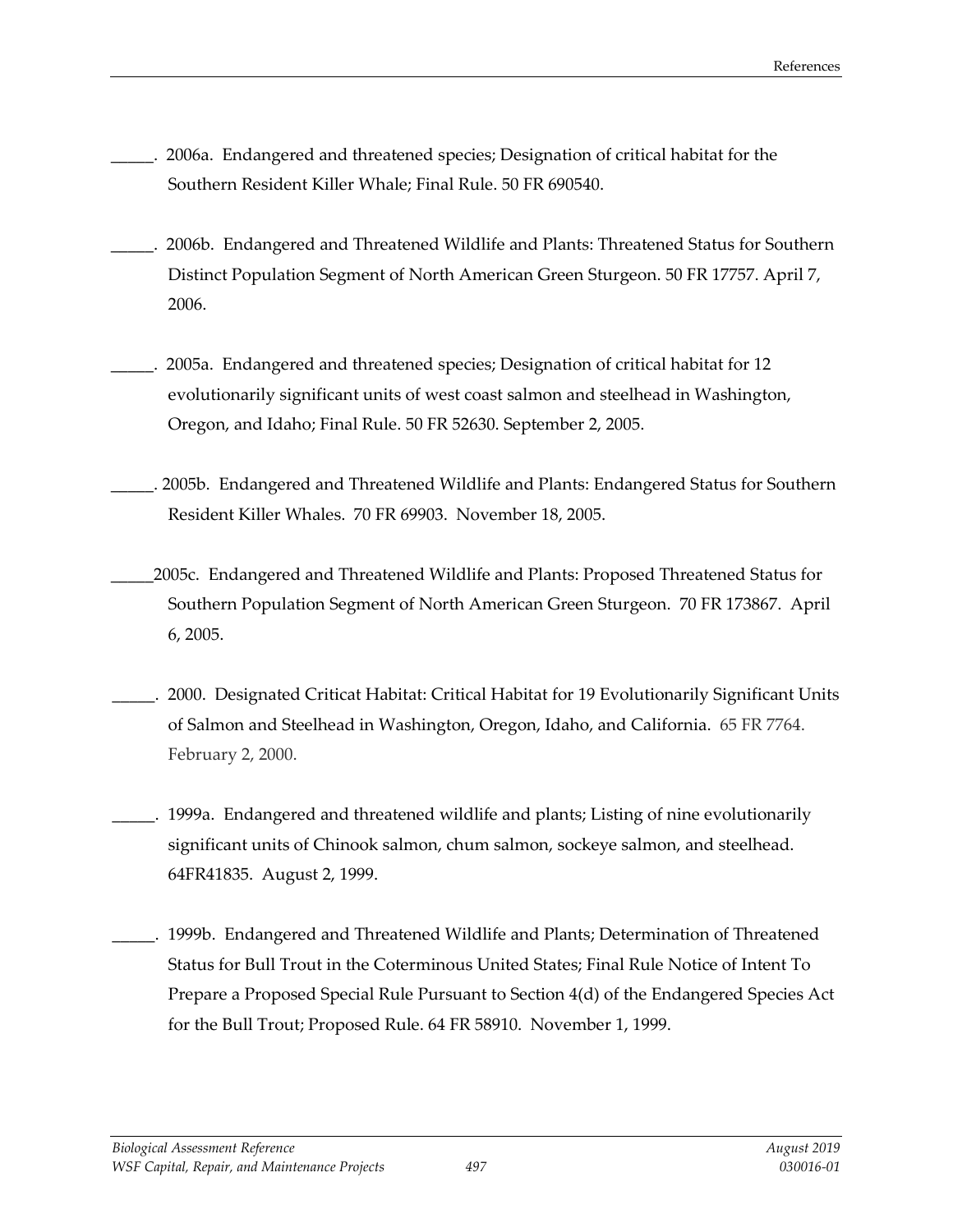- \_\_\_\_\_. 2006a. Endangered and threatened species; Designation of critical habitat for the Southern Resident Killer Whale; Final Rule. 50 FR 690540.
- \_\_\_\_\_. 2006b. Endangered and Threatened Wildlife and Plants: Threatened Status for Southern Distinct Population Segment of North American Green Sturgeon. 50 FR 17757. April 7, 2006.
- \_\_\_\_\_. 2005a. Endangered and threatened species; Designation of critical habitat for 12 evolutionarily significant units of west coast salmon and steelhead in Washington, Oregon, and Idaho; Final Rule. 50 FR 52630. September 2, 2005.
- \_\_\_\_\_. 2005b. Endangered and Threatened Wildlife and Plants: Endangered Status for Southern Resident Killer Whales. 70 FR 69903. November 18, 2005.
- \_\_\_\_\_2005c. Endangered and Threatened Wildlife and Plants: Proposed Threatened Status for Southern Population Segment of North American Green Sturgeon. 70 FR 173867. April 6, 2005.
- \_\_\_\_\_. 2000. Designated Criticat Habitat: Critical Habitat for 19 Evolutionarily Significant Units of Salmon and Steelhead in Washington, Oregon, Idaho, and California. 65 FR 7764. February 2, 2000.
	- \_\_\_\_\_. 1999a. Endangered and threatened wildlife and plants; Listing of nine evolutionarily significant units of Chinook salmon, chum salmon, sockeye salmon, and steelhead. 64FR41835. August 2, 1999.
- \_\_\_\_\_. 1999b. Endangered and Threatened Wildlife and Plants; Determination of Threatened Status for Bull Trout in the Coterminous United States; Final Rule Notice of Intent To Prepare a Proposed Special Rule Pursuant to Section 4(d) of the Endangered Species Act for the Bull Trout; Proposed Rule. 64 FR 58910. November 1, 1999.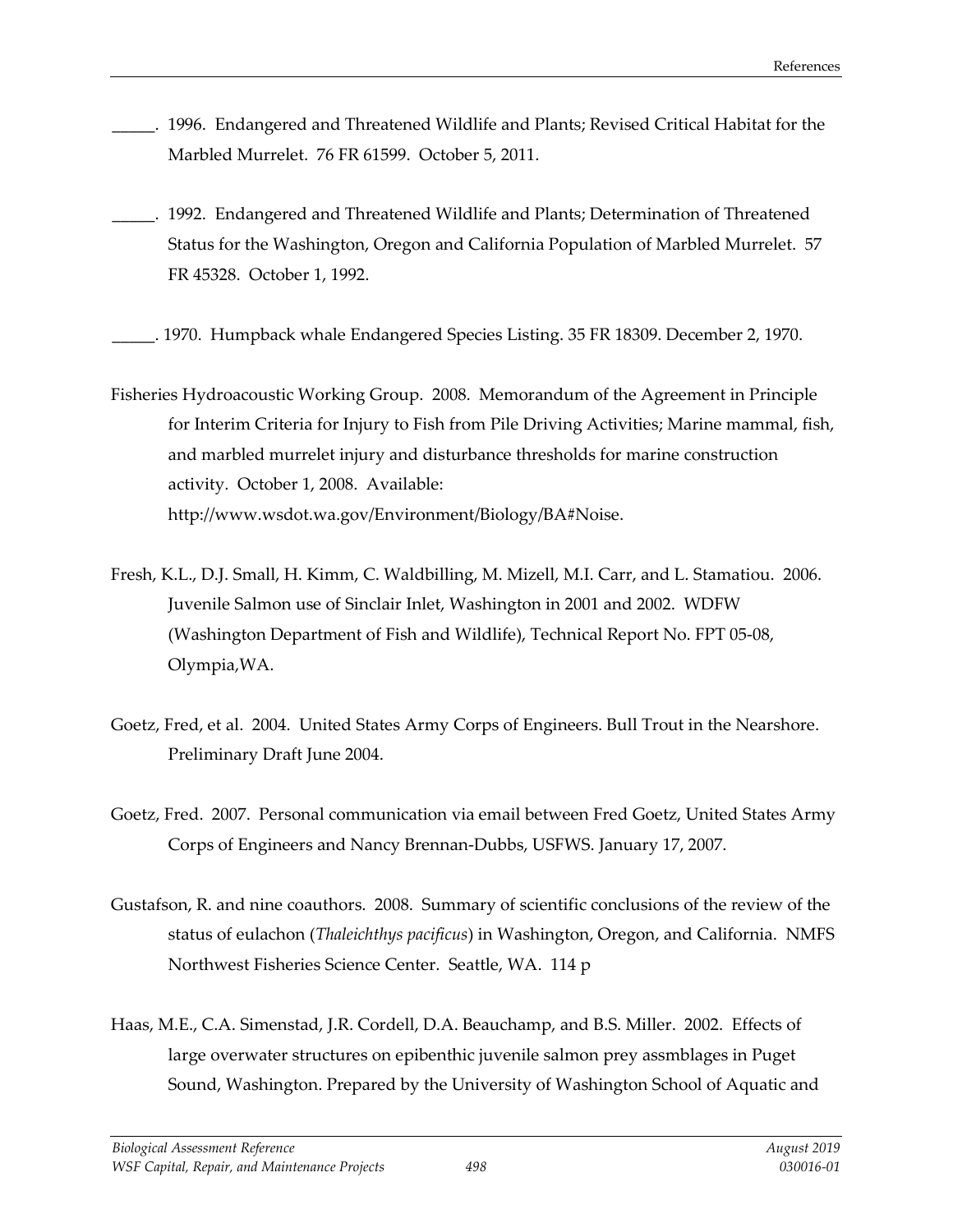- \_\_\_\_\_. 1996. Endangered and Threatened Wildlife and Plants; Revised Critical Habitat for the Marbled Murrelet. 76 FR 61599. October 5, 2011.
- \_\_\_\_\_. 1992. Endangered and Threatened Wildlife and Plants; Determination of Threatened Status for the Washington, Oregon and California Population of Marbled Murrelet. 57 FR 45328. October 1, 1992.
- \_\_\_\_\_. 1970. Humpback whale Endangered Species Listing. 35 FR 18309. December 2, 1970.
- Fisheries Hydroacoustic Working Group. 2008. Memorandum of the Agreement in Principle for Interim Criteria for Injury to Fish from Pile Driving Activities; Marine mammal, fish, and marbled murrelet injury and disturbance thresholds for marine construction activity. October 1, 2008. Available: http://www.wsdot.wa.gov/Environment/Biology/BA#Noise.
- Fresh, K.L., D.J. Small, H. Kimm, C. Waldbilling, M. Mizell, M.I. Carr, and L. Stamatiou. 2006. Juvenile Salmon use of Sinclair Inlet, Washington in 2001 and 2002. WDFW (Washington Department of Fish and Wildlife), Technical Report No. FPT 05-08, Olympia,WA.
- Goetz, Fred, et al. 2004. United States Army Corps of Engineers. Bull Trout in the Nearshore. Preliminary Draft June 2004.
- Goetz, Fred. 2007. Personal communication via email between Fred Goetz, United States Army Corps of Engineers and Nancy Brennan-Dubbs, USFWS. January 17, 2007.
- Gustafson, R. and nine coauthors. 2008. Summary of scientific conclusions of the review of the status of eulachon (*Thaleichthys pacificus*) in Washington, Oregon, and California. NMFS Northwest Fisheries Science Center. Seattle, WA. 114 p
- Haas, M.E., C.A. Simenstad, J.R. Cordell, D.A. Beauchamp, and B.S. Miller. 2002. Effects of large overwater structures on epibenthic juvenile salmon prey assmblages in Puget Sound, Washington. Prepared by the University of Washington School of Aquatic and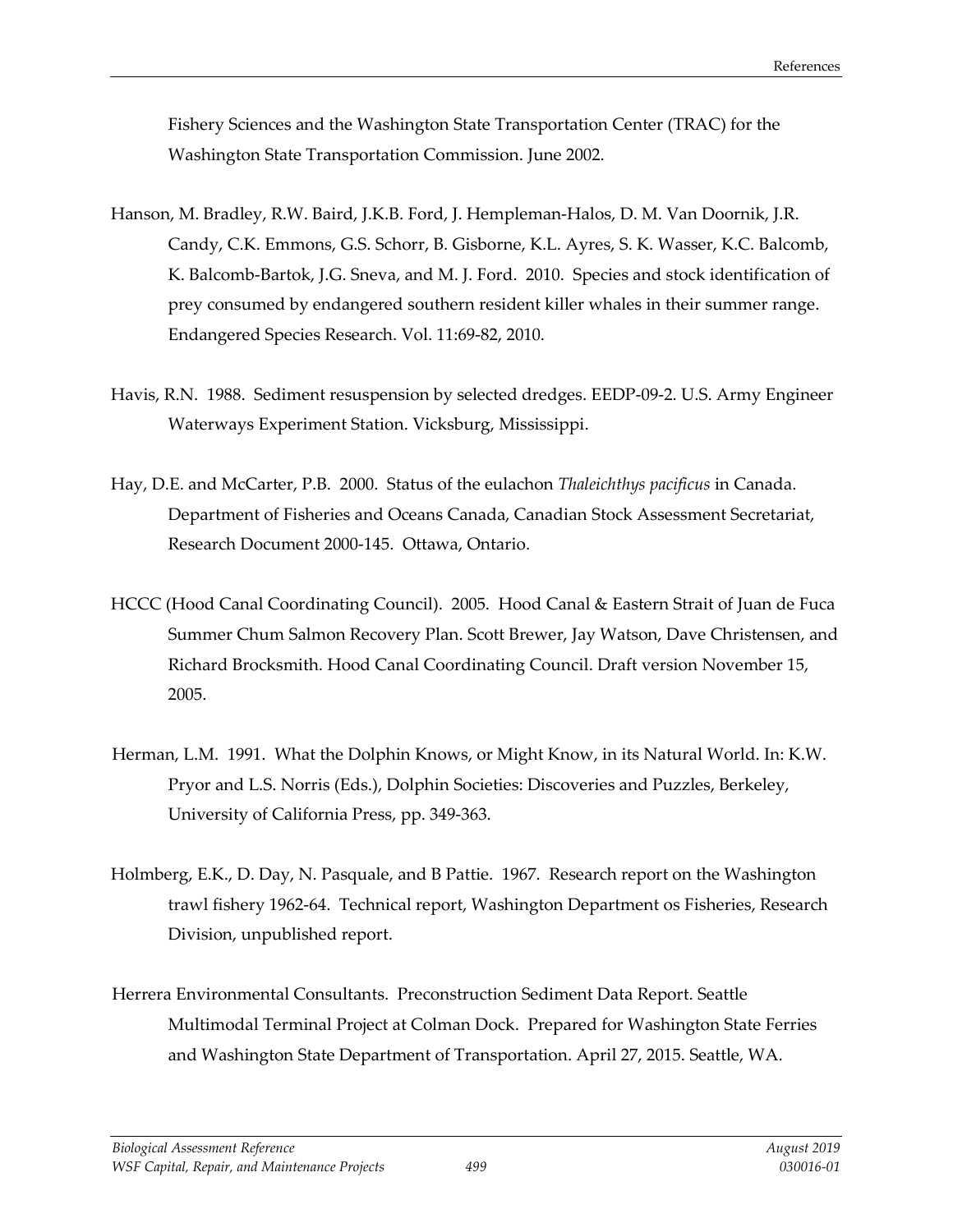Fishery Sciences and the Washington State Transportation Center (TRAC) for the Washington State Transportation Commission. June 2002.

- Hanson, M. Bradley, R.W. Baird, J.K.B. Ford, J. Hempleman-Halos, D. M. Van Doornik, J.R. Candy, C.K. Emmons, G.S. Schorr, B. Gisborne, K.L. Ayres, S. K. Wasser, K.C. Balcomb, K. Balcomb-Bartok, J.G. Sneva, and M. J. Ford. 2010. Species and stock identification of prey consumed by endangered southern resident killer whales in their summer range. Endangered Species Research. Vol. 11:69-82, 2010.
- Havis, R.N. 1988. Sediment resuspension by selected dredges. EEDP-09-2. U.S. Army Engineer Waterways Experiment Station. Vicksburg, Mississippi.
- Hay, D.E. and McCarter, P.B. 2000. Status of the eulachon *Thaleichthys pacificus* in Canada. Department of Fisheries and Oceans Canada, Canadian Stock Assessment Secretariat, Research Document 2000-145. Ottawa, Ontario.
- HCCC (Hood Canal Coordinating Council). 2005. Hood Canal & Eastern Strait of Juan de Fuca Summer Chum Salmon Recovery Plan. Scott Brewer, Jay Watson, Dave Christensen, and Richard Brocksmith. Hood Canal Coordinating Council. Draft version November 15, 2005.
- Herman, L.M. 1991. What the Dolphin Knows, or Might Know, in its Natural World. In: K.W. Pryor and L.S. Norris (Eds.), Dolphin Societies: Discoveries and Puzzles, Berkeley, University of California Press, pp. 349-363.
- Holmberg, E.K., D. Day, N. Pasquale, and B Pattie. 1967. Research report on the Washington trawl fishery 1962-64. Technical report, Washington Department os Fisheries, Research Division, unpublished report.
- Herrera Environmental Consultants. Preconstruction Sediment Data Report. Seattle Multimodal Terminal Project at Colman Dock. Prepared for Washington State Ferries and Washington State Department of Transportation. April 27, 2015. Seattle, WA.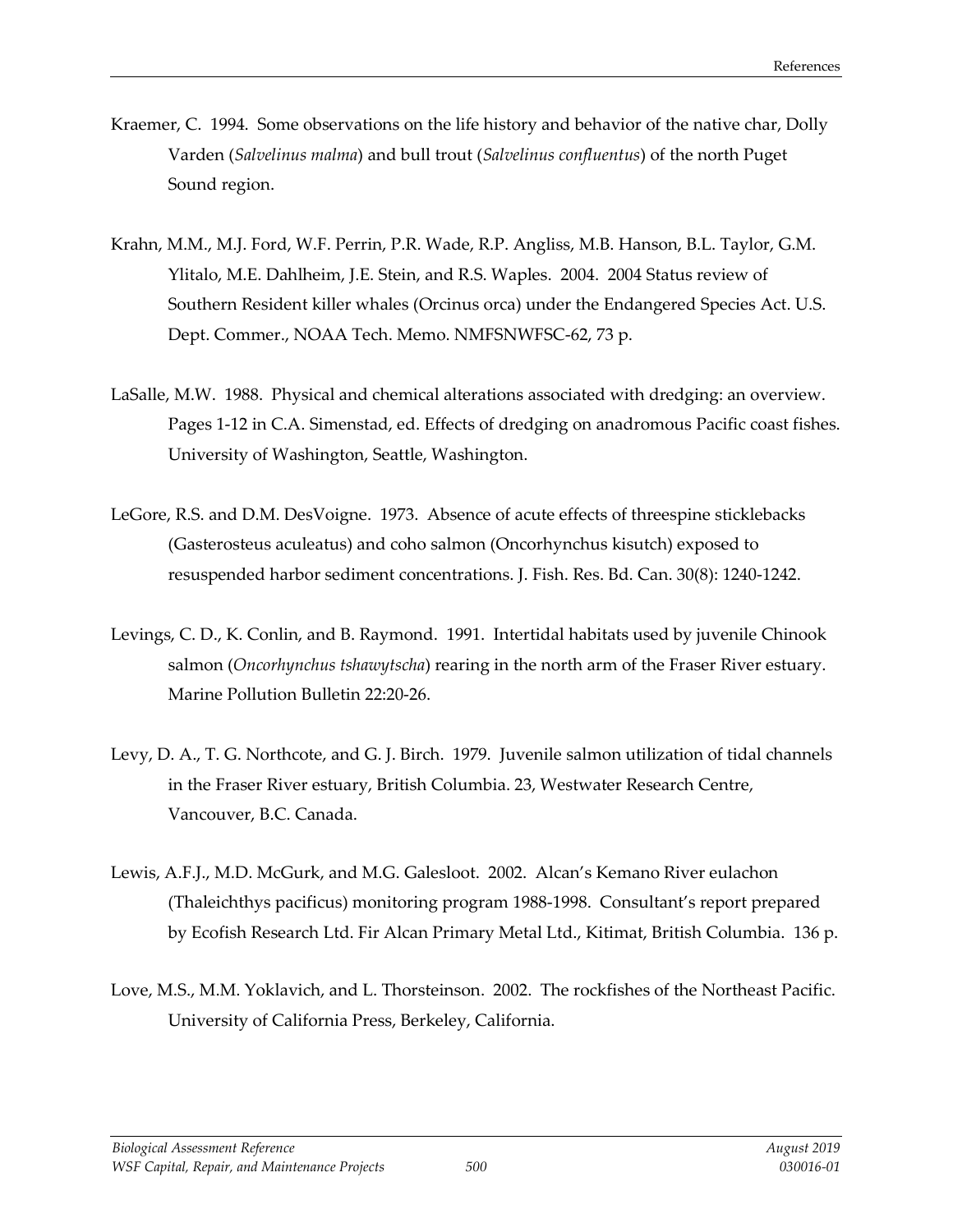- Kraemer, C. 1994. Some observations on the life history and behavior of the native char, Dolly Varden (*Salvelinus malma*) and bull trout (*Salvelinus confluentus*) of the north Puget Sound region.
- Krahn, M.M., M.J. Ford, W.F. Perrin, P.R. Wade, R.P. Angliss, M.B. Hanson, B.L. Taylor, G.M. Ylitalo, M.E. Dahlheim, J.E. Stein, and R.S. Waples. 2004. 2004 Status review of Southern Resident killer whales (Orcinus orca) under the Endangered Species Act. U.S. Dept. Commer., NOAA Tech. Memo. NMFSNWFSC-62, 73 p.
- LaSalle, M.W. 1988. Physical and chemical alterations associated with dredging: an overview. Pages 1-12 in C.A. Simenstad, ed. Effects of dredging on anadromous Pacific coast fishes. University of Washington, Seattle, Washington.
- LeGore, R.S. and D.M. DesVoigne. 1973. Absence of acute effects of threespine sticklebacks (Gasterosteus aculeatus) and coho salmon (Oncorhynchus kisutch) exposed to resuspended harbor sediment concentrations. J. Fish. Res. Bd. Can. 30(8): 1240-1242.
- Levings, C. D., K. Conlin, and B. Raymond. 1991. Intertidal habitats used by juvenile Chinook salmon (*Oncorhynchus tshawytscha*) rearing in the north arm of the Fraser River estuary. Marine Pollution Bulletin 22:20-26.
- Levy, D. A., T. G. Northcote, and G. J. Birch. 1979. Juvenile salmon utilization of tidal channels in the Fraser River estuary, British Columbia. 23, Westwater Research Centre, Vancouver, B.C. Canada.
- Lewis, A.F.J., M.D. McGurk, and M.G. Galesloot. 2002. Alcan's Kemano River eulachon (Thaleichthys pacificus) monitoring program 1988-1998. Consultant's report prepared by Ecofish Research Ltd. Fir Alcan Primary Metal Ltd., Kitimat, British Columbia. 136 p.
- Love, M.S., M.M. Yoklavich, and L. Thorsteinson. 2002. The rockfishes of the Northeast Pacific. University of California Press, Berkeley, California.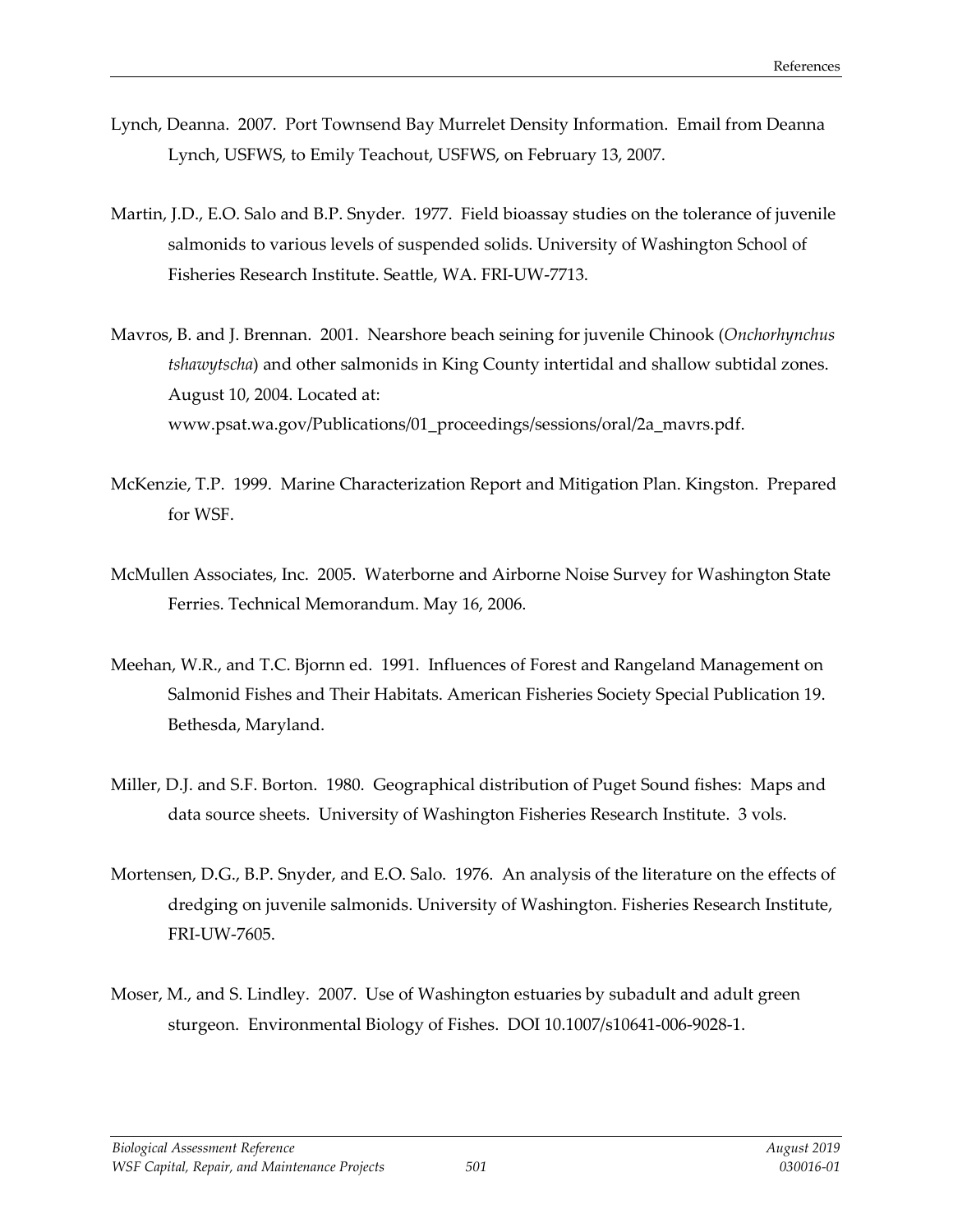- Lynch, Deanna. 2007. Port Townsend Bay Murrelet Density Information. Email from Deanna Lynch, USFWS, to Emily Teachout, USFWS, on February 13, 2007.
- Martin, J.D., E.O. Salo and B.P. Snyder. 1977. Field bioassay studies on the tolerance of juvenile salmonids to various levels of suspended solids. University of Washington School of Fisheries Research Institute. Seattle, WA. FRI-UW-7713.
- Mavros, B. and J. Brennan. 2001. Nearshore beach seining for juvenile Chinook (*Onchorhynchus tshawytscha*) and other salmonids in King County intertidal and shallow subtidal zones. August 10, 2004. Located at: [www.psat.wa.gov/Publications/01\\_proceedings/sessions/oral/2a\\_mavrs.pdf.](http://www.psat.wa.gov/Publications/01_proceedings/sessions/oral/2a_mavrs.pdf)
- McKenzie, T.P. 1999. Marine Characterization Report and Mitigation Plan. Kingston. Prepared for WSF.
- McMullen Associates, Inc. 2005. Waterborne and Airborne Noise Survey for Washington State Ferries. Technical Memorandum. May 16, 2006.
- Meehan, W.R., and T.C. Bjornn ed. 1991. Influences of Forest and Rangeland Management on Salmonid Fishes and Their Habitats. American Fisheries Society Special Publication 19. Bethesda, Maryland.
- Miller, D.J. and S.F. Borton. 1980. Geographical distribution of Puget Sound fishes: Maps and data source sheets. University of Washington Fisheries Research Institute. 3 vols.
- Mortensen, D.G., B.P. Snyder, and E.O. Salo. 1976. An analysis of the literature on the effects of dredging on juvenile salmonids. University of Washington. Fisheries Research Institute, FRI-UW-7605.
- Moser, M., and S. Lindley. 2007. Use of Washington estuaries by subadult and adult green sturgeon. Environmental Biology of Fishes. DOI 10.1007/s10641-006-9028-1.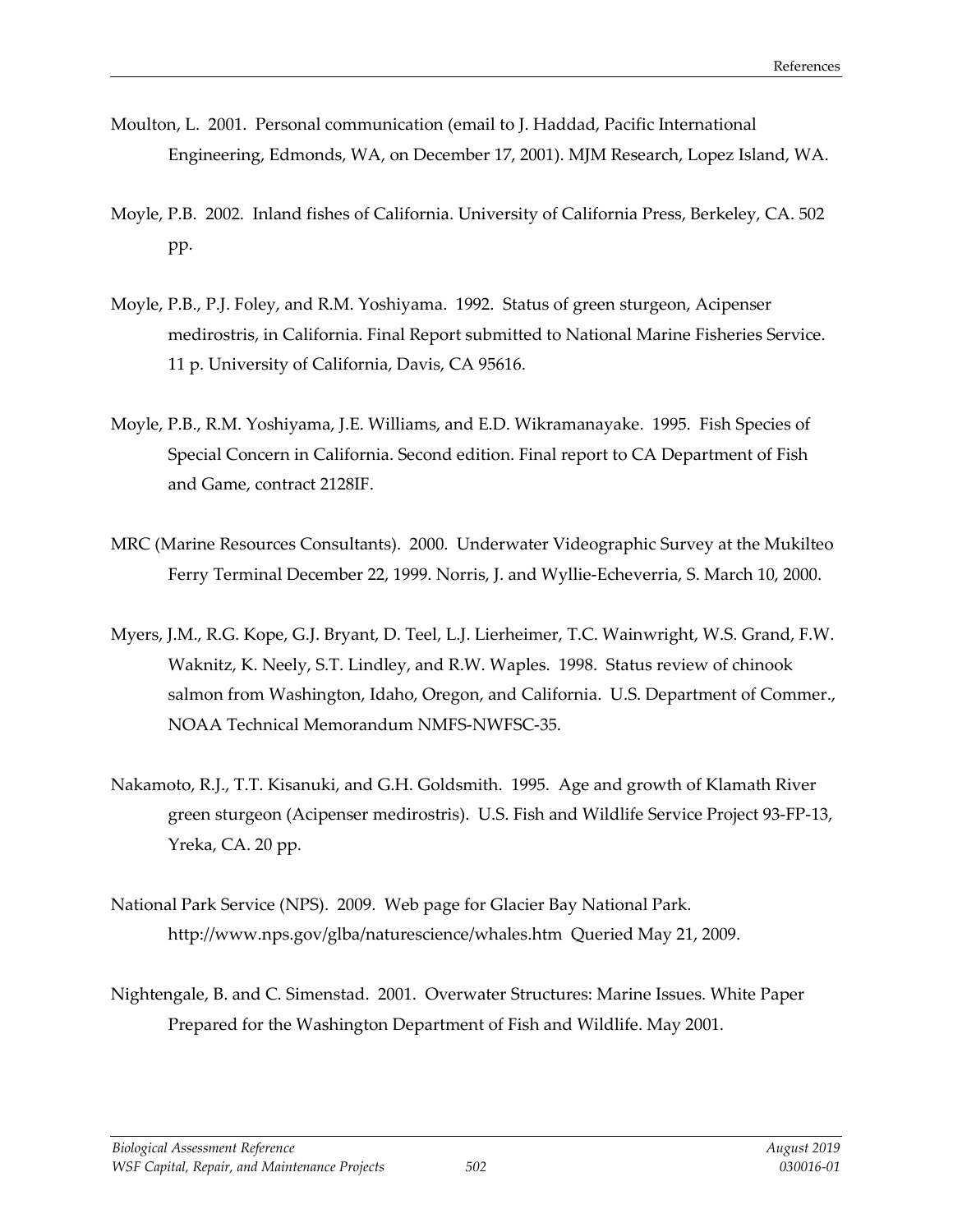- Moulton, L. 2001. Personal communication (email to J. Haddad, Pacific International Engineering, Edmonds, WA, on December 17, 2001). MJM Research, Lopez Island, WA.
- Moyle, P.B. 2002. Inland fishes of California. University of California Press, Berkeley, CA. 502 pp.
- Moyle, P.B., P.J. Foley, and R.M. Yoshiyama. 1992. Status of green sturgeon, Acipenser medirostris, in California. Final Report submitted to National Marine Fisheries Service. 11 p. University of California, Davis, CA 95616.
- Moyle, P.B., R.M. Yoshiyama, J.E. Williams, and E.D. Wikramanayake. 1995. Fish Species of Special Concern in California. Second edition. Final report to CA Department of Fish and Game, contract 2128IF.
- MRC (Marine Resources Consultants). 2000. Underwater Videographic Survey at the Mukilteo Ferry Terminal December 22, 1999. Norris, J. and Wyllie-Echeverria, S. March 10, 2000.
- Myers, J.M., R.G. Kope, G.J. Bryant, D. Teel, L.J. Lierheimer, T.C. Wainwright, W.S. Grand, F.W. Waknitz, K. Neely, S.T. Lindley, and R.W. Waples. 1998. Status review of chinook salmon from Washington, Idaho, Oregon, and California. U.S. Department of Commer., NOAA Technical Memorandum NMFS-NWFSC-35.
- Nakamoto, R.J., T.T. Kisanuki, and G.H. Goldsmith. 1995. Age and growth of Klamath River green sturgeon (Acipenser medirostris). U.S. Fish and Wildlife Service Project 93-FP-13, Yreka, CA. 20 pp.
- National Park Service (NPS). 2009. Web page for Glacier Bay National Park. <http://www.nps.gov/glba/naturescience/whales.htm>Queried May 21, 2009.
- Nightengale, B. and C. Simenstad. 2001. Overwater Structures: Marine Issues. White Paper Prepared for the Washington Department of Fish and Wildlife. May 2001.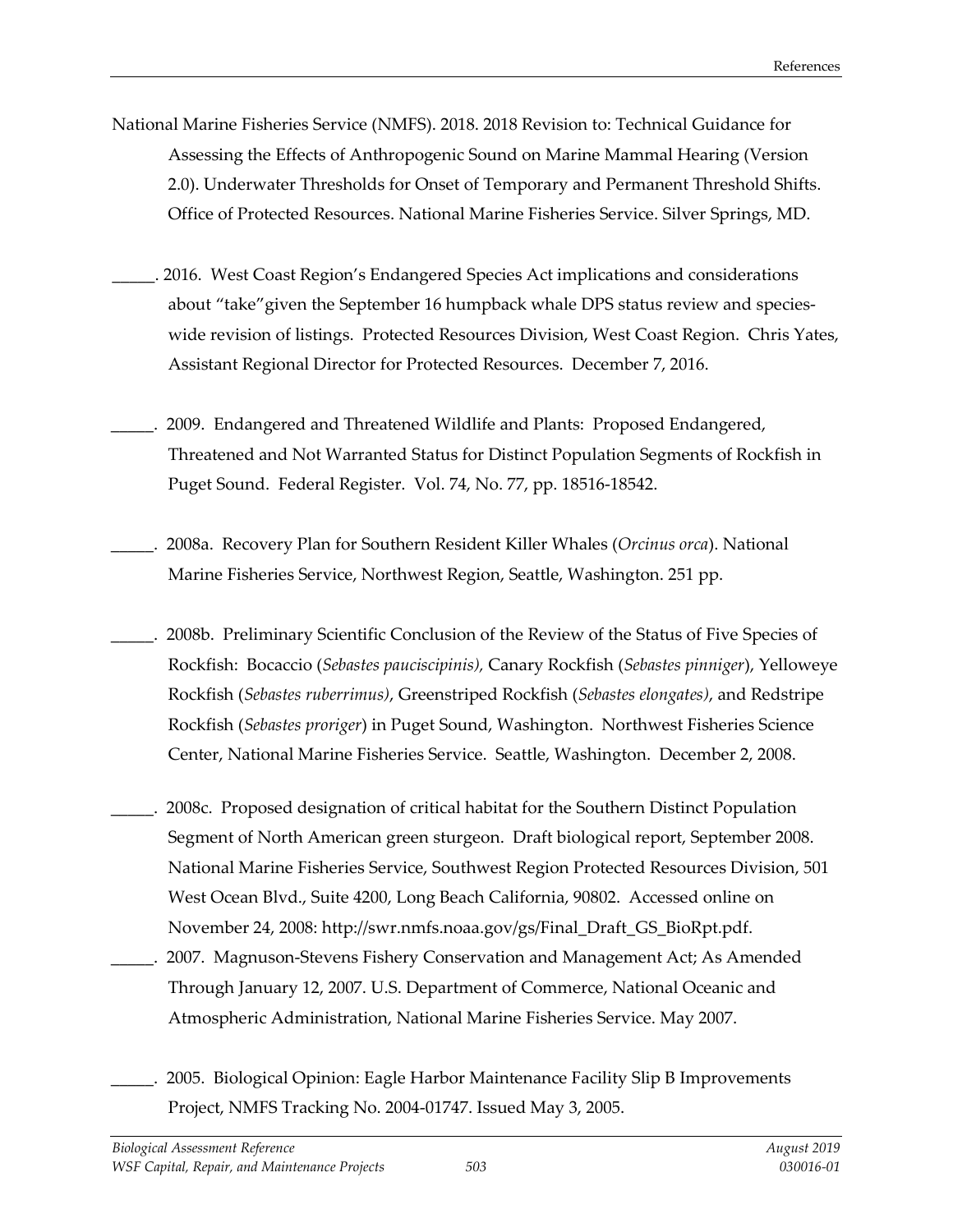- National Marine Fisheries Service (NMFS). 2018. 2018 Revision to: Technical Guidance for Assessing the Effects of Anthropogenic Sound on Marine Mammal Hearing (Version 2.0). Underwater Thresholds for Onset of Temporary and Permanent Threshold Shifts. Office of Protected Resources. National Marine Fisheries Service. Silver Springs, MD.
- \_\_\_\_\_. 2016. West Coast Region's Endangered Species Act implications and considerations about "take"given the September 16 humpback whale DPS status review and specieswide revision of listings. Protected Resources Division, West Coast Region. Chris Yates, Assistant Regional Director for Protected Resources. December 7, 2016.
- \_\_\_\_\_. 2009. Endangered and Threatened Wildlife and Plants: Proposed Endangered, Threatened and Not Warranted Status for Distinct Population Segments of Rockfish in Puget Sound. Federal Register. Vol. 74, No. 77, pp. 18516-18542.
- \_\_\_\_\_. 2008a. Recovery Plan for Southern Resident Killer Whales (*Orcinus orca*). National Marine Fisheries Service, Northwest Region, Seattle, Washington. 251 pp.
- \_\_\_\_\_. 2008b. Preliminary Scientific Conclusion of the Review of the Status of Five Species of Rockfish: Bocaccio (*Sebastes pauciscipinis),* Canary Rockfish (*Sebastes pinniger*), Yelloweye Rockfish (*Sebastes ruberrimus)*, Greenstriped Rockfish (*Sebastes elongates)*, and Redstripe Rockfish (*Sebastes proriger*) in Puget Sound, Washington. Northwest Fisheries Science Center, National Marine Fisheries Service. Seattle, Washington. December 2, 2008.
- \_\_\_\_\_. 2008c. Proposed designation of critical habitat for the Southern Distinct Population Segment of North American green sturgeon. Draft biological report, September 2008. National Marine Fisheries Service, Southwest Region Protected Resources Division, 501 West Ocean Blvd., Suite 4200, Long Beach California, 90802. Accessed online on November 24, 2008: [http://swr.nmfs.noaa.gov/gs/Final\\_Draft\\_GS\\_BioRpt.pdf.](http://swr.nmfs.noaa.gov/gs/Final_Draft_GS_BioRpt.pdf)
	- \_\_\_\_\_. 2007. Magnuson-Stevens Fishery Conservation and Management Act; As Amended Through January 12, 2007. U.S. Department of Commerce, National Oceanic and Atmospheric Administration, National Marine Fisheries Service. May 2007.
- \_\_\_\_\_. 2005. Biological Opinion: Eagle Harbor Maintenance Facility Slip B Improvements Project, NMFS Tracking No. 2004-01747. Issued May 3, 2005.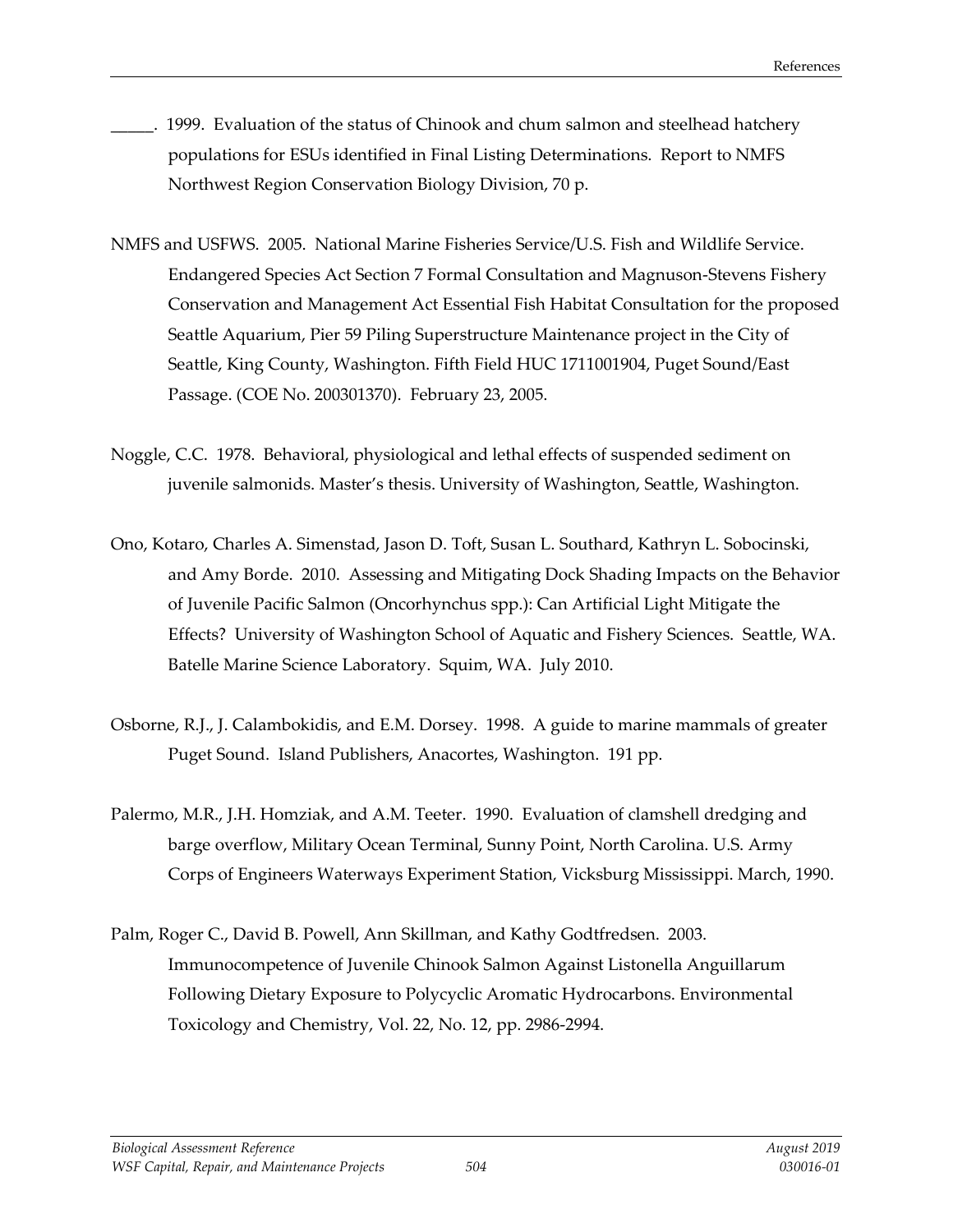- 1999. Evaluation of the status of Chinook and chum salmon and steelhead hatchery populations for ESUs identified in Final Listing Determinations. Report to NMFS Northwest Region Conservation Biology Division, 70 p.
- NMFS and USFWS. 2005. National Marine Fisheries Service/U.S. Fish and Wildlife Service. Endangered Species Act Section 7 Formal Consultation and Magnuson-Stevens Fishery Conservation and Management Act Essential Fish Habitat Consultation for the proposed Seattle Aquarium, Pier 59 Piling Superstructure Maintenance project in the City of Seattle, King County, Washington. Fifth Field HUC 1711001904, Puget Sound/East Passage. (COE No. 200301370). February 23, 2005.
- Noggle, C.C. 1978. Behavioral, physiological and lethal effects of suspended sediment on juvenile salmonids. Master's thesis. University of Washington, Seattle, Washington.
- Ono, Kotaro, Charles A. Simenstad, Jason D. Toft, Susan L. Southard, Kathryn L. Sobocinski, and Amy Borde. 2010. Assessing and Mitigating Dock Shading Impacts on the Behavior of Juvenile Pacific Salmon (Oncorhynchus spp.): Can Artificial Light Mitigate the Effects? University of Washington School of Aquatic and Fishery Sciences. Seattle, WA. Batelle Marine Science Laboratory. Squim, WA. July 2010.
- Osborne, R.J., J. Calambokidis, and E.M. Dorsey. 1998. A guide to marine mammals of greater Puget Sound. Island Publishers, Anacortes, Washington. 191 pp.
- Palermo, M.R., J.H. Homziak, and A.M. Teeter. 1990. Evaluation of clamshell dredging and barge overflow, Military Ocean Terminal, Sunny Point, North Carolina. U.S. Army Corps of Engineers Waterways Experiment Station, Vicksburg Mississippi. March, 1990.
- Palm, Roger C., David B. Powell, Ann Skillman, and Kathy Godtfredsen. 2003. Immunocompetence of Juvenile Chinook Salmon Against Listonella Anguillarum Following Dietary Exposure to Polycyclic Aromatic Hydrocarbons. Environmental Toxicology and Chemistry, Vol. 22, No. 12, pp. 2986-2994.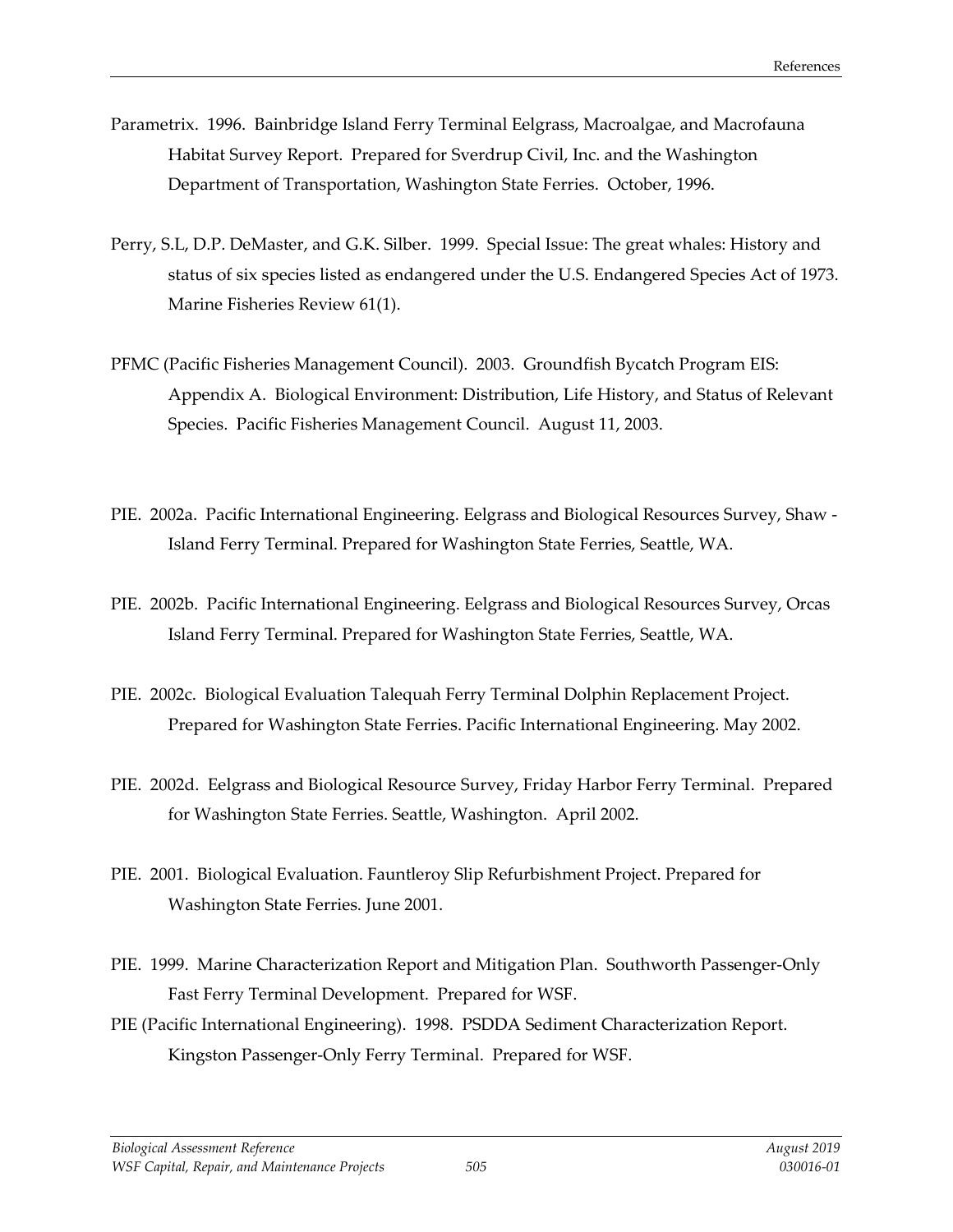- Parametrix. 1996. Bainbridge Island Ferry Terminal Eelgrass, Macroalgae, and Macrofauna Habitat Survey Report. Prepared for Sverdrup Civil, Inc. and the Washington Department of Transportation, Washington State Ferries. October, 1996.
- Perry, S.L, D.P. DeMaster, and G.K. Silber. 1999. Special Issue: The great whales: History and status of six species listed as endangered under the U.S. Endangered Species Act of 1973. Marine Fisheries Review 61(1).
- PFMC (Pacific Fisheries Management Council). 2003. Groundfish Bycatch Program EIS: Appendix A. Biological Environment: Distribution, Life History, and Status of Relevant Species. Pacific Fisheries Management Council. August 11, 2003.
- PIE. 2002a. Pacific International Engineering. Eelgrass and Biological Resources Survey, Shaw Island Ferry Terminal. Prepared for Washington State Ferries, Seattle, WA.
- PIE. 2002b. Pacific International Engineering. Eelgrass and Biological Resources Survey, Orcas Island Ferry Terminal. Prepared for Washington State Ferries, Seattle, WA.
- PIE. 2002c. Biological Evaluation Talequah Ferry Terminal Dolphin Replacement Project. Prepared for Washington State Ferries. Pacific International Engineering. May 2002.
- PIE. 2002d. Eelgrass and Biological Resource Survey, Friday Harbor Ferry Terminal. Prepared for Washington State Ferries. Seattle, Washington. April 2002.
- PIE. 2001. Biological Evaluation. Fauntleroy Slip Refurbishment Project. Prepared for Washington State Ferries. June 2001.
- PIE. 1999. Marine Characterization Report and Mitigation Plan. Southworth Passenger-Only Fast Ferry Terminal Development. Prepared for WSF.
- PIE (Pacific International Engineering). 1998. PSDDA Sediment Characterization Report. Kingston Passenger-Only Ferry Terminal. Prepared for WSF.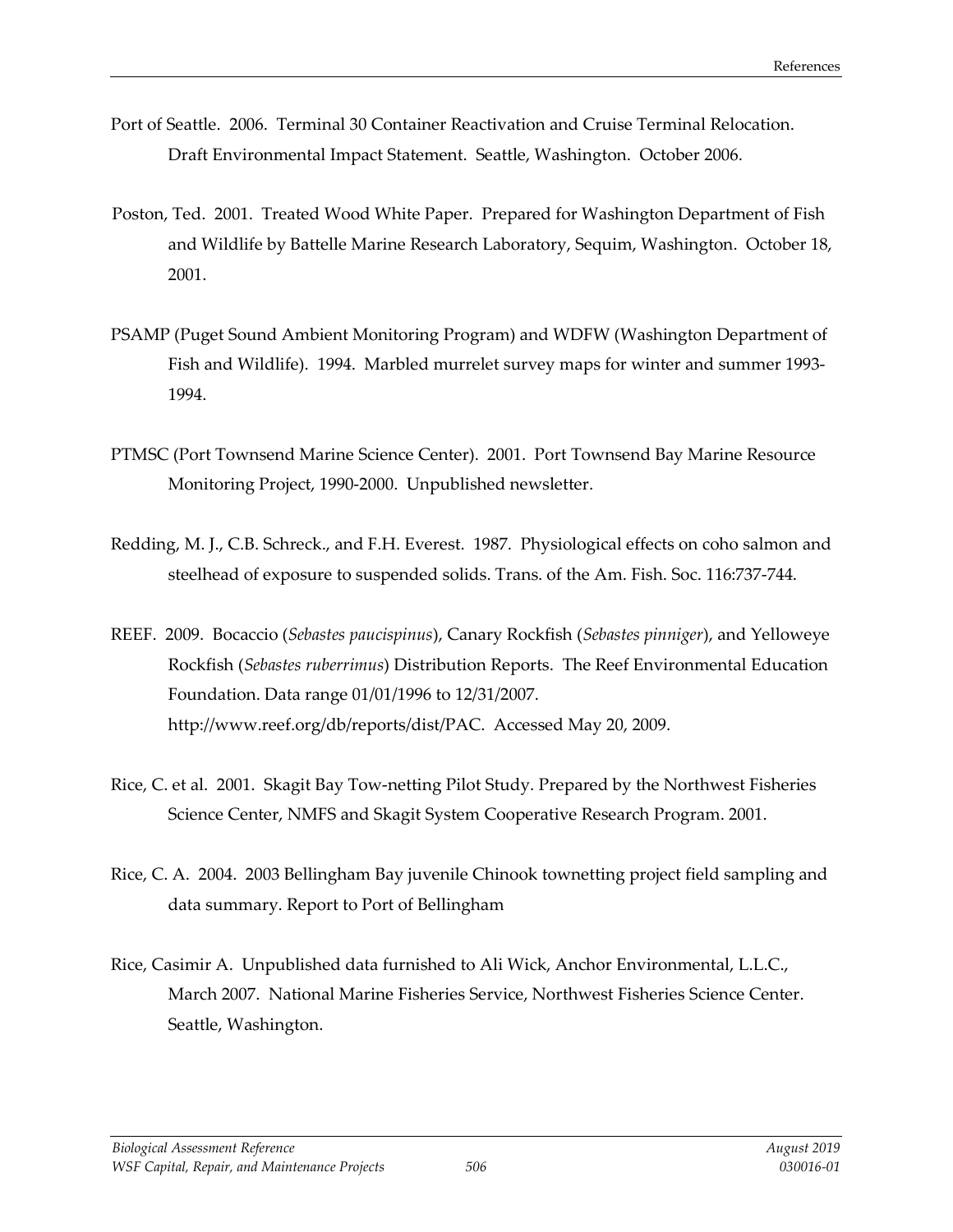- Port of Seattle. 2006. Terminal 30 Container Reactivation and Cruise Terminal Relocation. Draft Environmental Impact Statement. Seattle, Washington. October 2006.
- Poston, Ted. 2001. Treated Wood White Paper. Prepared for Washington Department of Fish and Wildlife by Battelle Marine Research Laboratory, Sequim, Washington. October 18, 2001.
- PSAMP (Puget Sound Ambient Monitoring Program) and WDFW (Washington Department of Fish and Wildlife). 1994. Marbled murrelet survey maps for winter and summer 1993- 1994.
- PTMSC (Port Townsend Marine Science Center). 2001. Port Townsend Bay Marine Resource Monitoring Project, 1990-2000. Unpublished newsletter.
- Redding, M. J., C.B. Schreck., and F.H. Everest. 1987. Physiological effects on coho salmon and steelhead of exposure to suspended solids. Trans. of the Am. Fish. Soc. 116:737-744.
- REEF. 2009. Bocaccio (*Sebastes paucispinus*), Canary Rockfish (*Sebastes pinniger*), and Yelloweye Rockfish (*Sebastes ruberrimus*) Distribution Reports. The Reef Environmental Education Foundation. Data range 01/01/1996 to 12/31/2007. [http://www.reef.org/db/reports/dist/PAC.](http://www.reef.org/db/reports/dist/PAC) Accessed May 20, 2009.
- Rice, C. et al. 2001. Skagit Bay Tow-netting Pilot Study. Prepared by the Northwest Fisheries Science Center, NMFS and Skagit System Cooperative Research Program. 2001.
- Rice, C. A. 2004. 2003 Bellingham Bay juvenile Chinook townetting project field sampling and data summary. Report to Port of Bellingham
- Rice, Casimir A. Unpublished data furnished to Ali Wick, Anchor Environmental, L.L.C., March 2007. National Marine Fisheries Service, Northwest Fisheries Science Center. Seattle, Washington.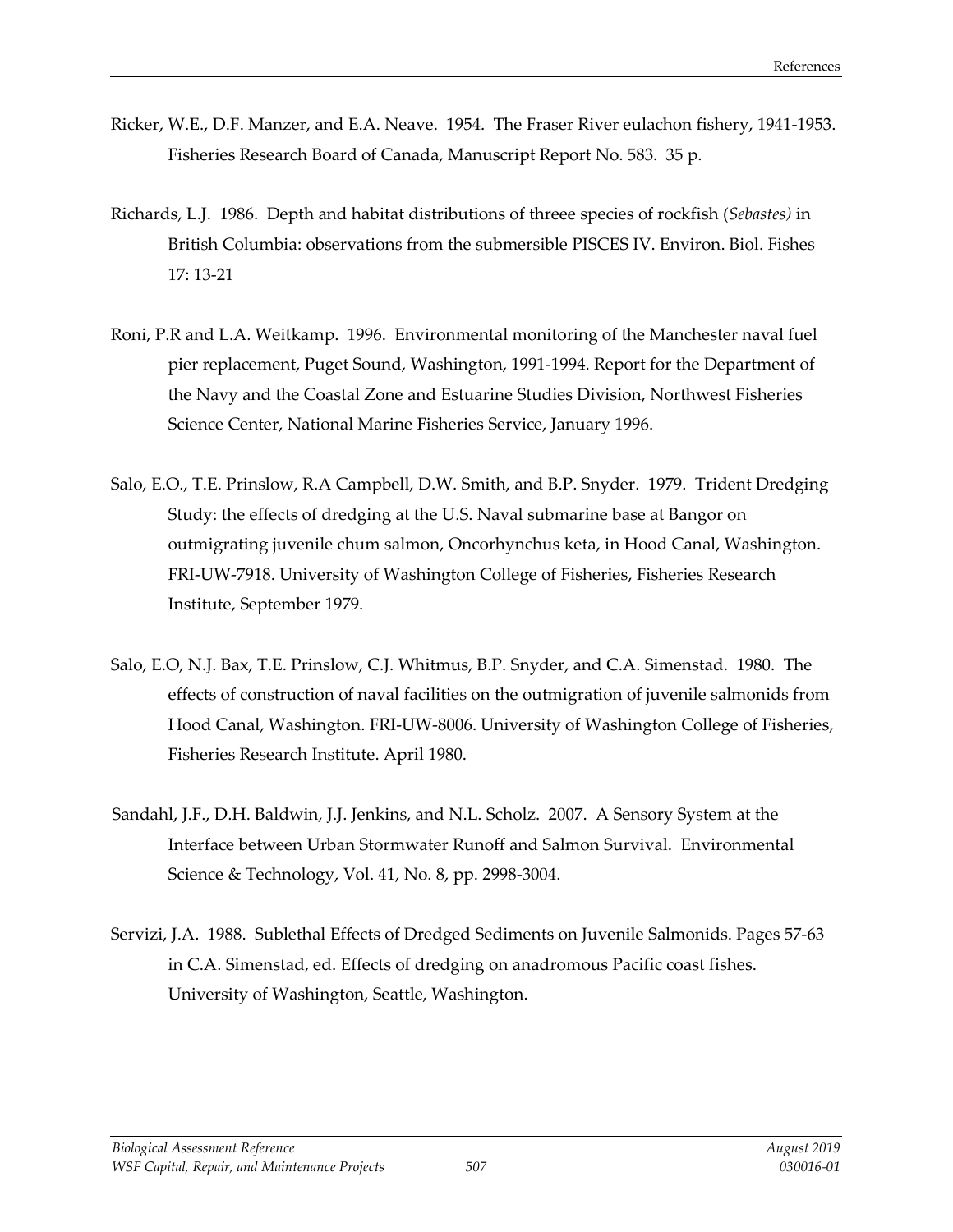- Ricker, W.E., D.F. Manzer, and E.A. Neave. 1954. The Fraser River eulachon fishery, 1941-1953. Fisheries Research Board of Canada, Manuscript Report No. 583. 35 p.
- Richards, L.J. 1986. Depth and habitat distributions of threee species of rockfish (*Sebastes)* in British Columbia: observations from the submersible PISCES IV. Environ. Biol. Fishes 17: 13-21
- Roni, P.R and L.A. Weitkamp. 1996. Environmental monitoring of the Manchester naval fuel pier replacement, Puget Sound, Washington, 1991-1994. Report for the Department of the Navy and the Coastal Zone and Estuarine Studies Division, Northwest Fisheries Science Center, National Marine Fisheries Service, January 1996.
- Salo, E.O., T.E. Prinslow, R.A Campbell, D.W. Smith, and B.P. Snyder. 1979. Trident Dredging Study: the effects of dredging at the U.S. Naval submarine base at Bangor on outmigrating juvenile chum salmon, Oncorhynchus keta, in Hood Canal, Washington. FRI-UW-7918. University of Washington College of Fisheries, Fisheries Research Institute, September 1979.
- Salo, E.O, N.J. Bax, T.E. Prinslow, C.J. Whitmus, B.P. Snyder, and C.A. Simenstad. 1980. The effects of construction of naval facilities on the outmigration of juvenile salmonids from Hood Canal, Washington. FRI-UW-8006. University of Washington College of Fisheries, Fisheries Research Institute. April 1980.
- Sandahl, J.F., D.H. Baldwin, J.J. Jenkins, and N.L. Scholz. 2007. A Sensory System at the Interface between Urban Stormwater Runoff and Salmon Survival. Environmental Science & Technology, Vol. 41, No. 8, pp. 2998-3004.
- Servizi, J.A. 1988. Sublethal Effects of Dredged Sediments on Juvenile Salmonids. Pages 57-63 in C.A. Simenstad, ed. Effects of dredging on anadromous Pacific coast fishes. University of Washington, Seattle, Washington.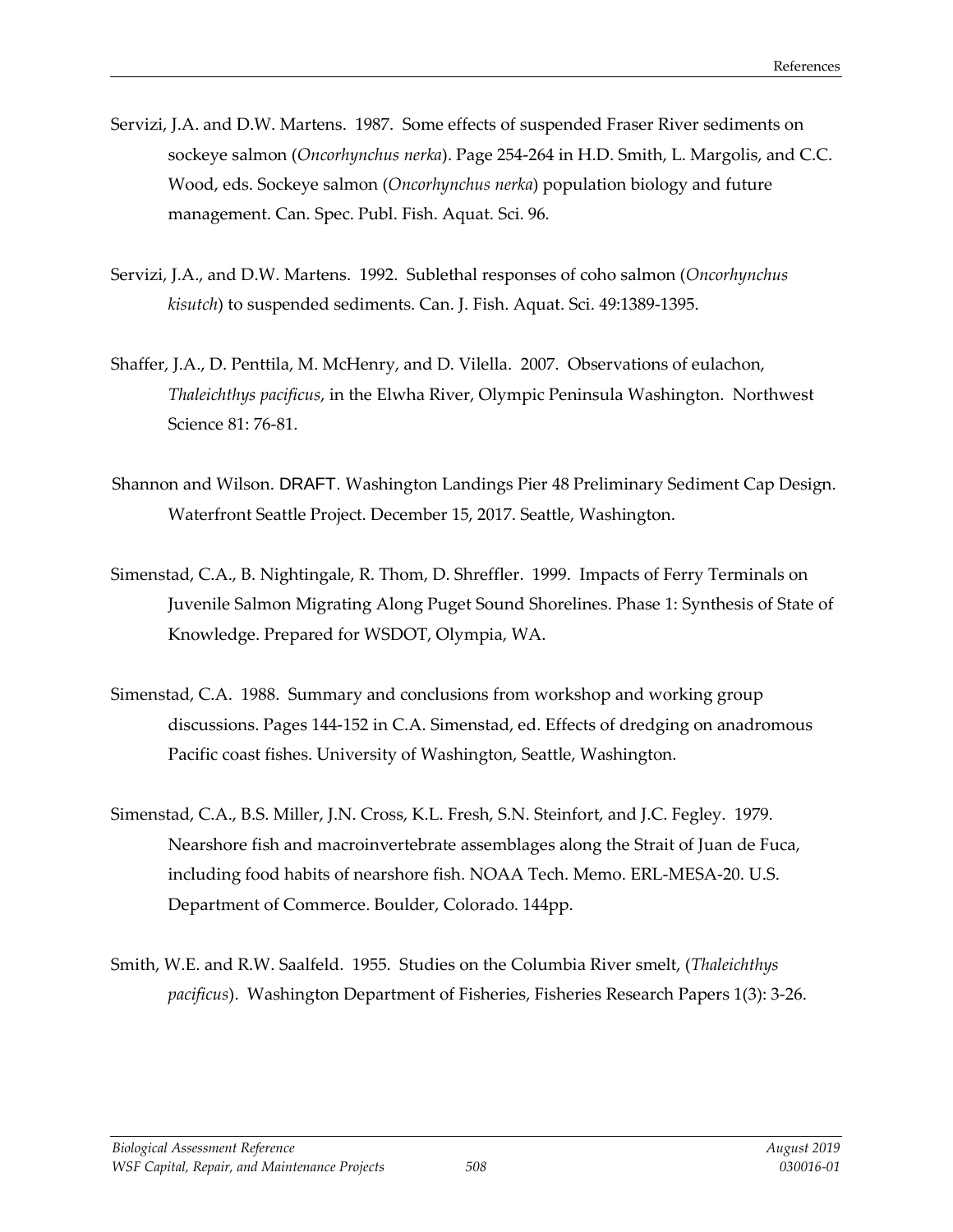- Servizi, J.A. and D.W. Martens. 1987. Some effects of suspended Fraser River sediments on sockeye salmon (*Oncorhynchus nerka*). Page 254-264 in H.D. Smith, L. Margolis, and C.C. Wood, eds. Sockeye salmon (*Oncorhynchus nerka*) population biology and future management. Can. Spec. Publ. Fish. Aquat. Sci. 96.
- Servizi, J.A., and D.W. Martens. 1992. Sublethal responses of coho salmon (*Oncorhynchus kisutch*) to suspended sediments. Can. J. Fish. Aquat. Sci. 49:1389-1395.
- Shaffer, J.A., D. Penttila, M. McHenry, and D. Vilella. 2007. Observations of eulachon, *Thaleichthys pacificus*, in the Elwha River, Olympic Peninsula Washington. Northwest Science 81: 76-81.
- Shannon and Wilson. DRAFT. Washington Landings Pier 48 Preliminary Sediment Cap Design. Waterfront Seattle Project. December 15, 2017. Seattle, Washington.
- Simenstad, C.A., B. Nightingale, R. Thom, D. Shreffler. 1999. Impacts of Ferry Terminals on Juvenile Salmon Migrating Along Puget Sound Shorelines. Phase 1: Synthesis of State of Knowledge. Prepared for WSDOT, Olympia, WA.
- Simenstad, C.A. 1988. Summary and conclusions from workshop and working group discussions. Pages 144-152 in C.A. Simenstad, ed. Effects of dredging on anadromous Pacific coast fishes. University of Washington, Seattle, Washington.
- Simenstad, C.A., B.S. Miller, J.N. Cross, K.L. Fresh, S.N. Steinfort, and J.C. Fegley. 1979. Nearshore fish and macroinvertebrate assemblages along the Strait of Juan de Fuca, including food habits of nearshore fish. NOAA Tech. Memo. ERL-MESA-20. U.S. Department of Commerce. Boulder, Colorado. 144pp.
- Smith, W.E. and R.W. Saalfeld. 1955. Studies on the Columbia River smelt, (*Thaleichthys pacificus*). Washington Department of Fisheries, Fisheries Research Papers 1(3): 3-26.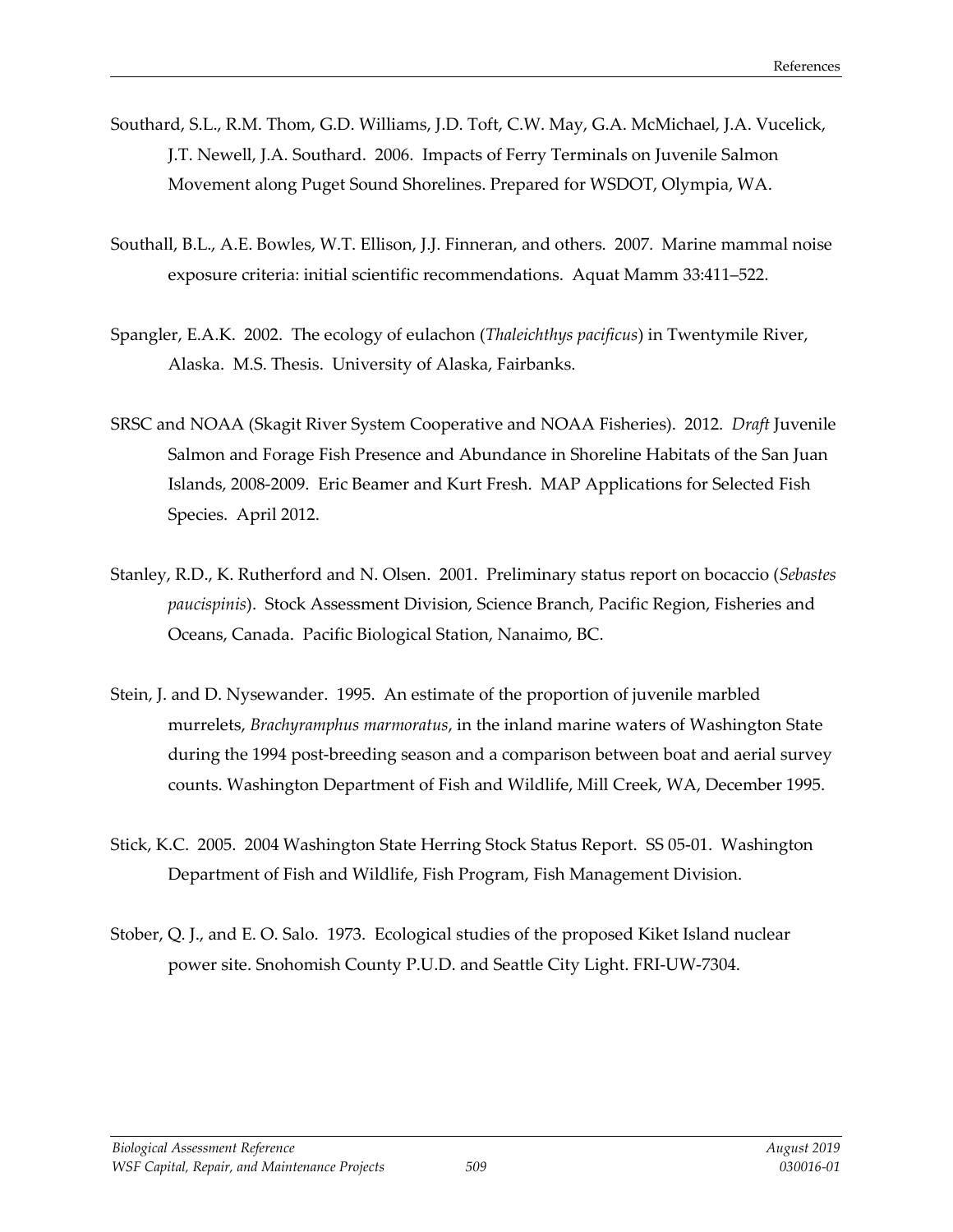- Southard, S.L., R.M. Thom, G.D. Williams, J.D. Toft, C.W. May, G.A. McMichael, J.A. Vucelick, J.T. Newell, J.A. Southard. 2006. Impacts of Ferry Terminals on Juvenile Salmon Movement along Puget Sound Shorelines. Prepared for WSDOT, Olympia, WA.
- Southall, B.L., A.E. Bowles, W.T. Ellison, J.J. Finneran, and others. 2007. Marine mammal noise exposure criteria: initial scientific recommendations. Aquat Mamm 33:411–522.
- Spangler, E.A.K. 2002. The ecology of eulachon (*Thaleichthys pacificus*) in Twentymile River, Alaska. M.S. Thesis. University of Alaska, Fairbanks.
- SRSC and NOAA (Skagit River System Cooperative and NOAA Fisheries). 2012. *Draft* Juvenile Salmon and Forage Fish Presence and Abundance in Shoreline Habitats of the San Juan Islands, 2008-2009. Eric Beamer and Kurt Fresh. MAP Applications for Selected Fish Species. April 2012.
- Stanley, R.D., K. Rutherford and N. Olsen. 2001. Preliminary status report on bocaccio (*Sebastes paucispinis*). Stock Assessment Division, Science Branch, Pacific Region, Fisheries and Oceans, Canada. Pacific Biological Station, Nanaimo, BC.
- Stein, J. and D. Nysewander. 1995. An estimate of the proportion of juvenile marbled murrelets, *Brachyramphus marmoratus*, in the inland marine waters of Washington State during the 1994 post-breeding season and a comparison between boat and aerial survey counts. Washington Department of Fish and Wildlife, Mill Creek, WA, December 1995.
- Stick, K.C. 2005. 2004 Washington State Herring Stock Status Report. SS 05-01. Washington Department of Fish and Wildlife, Fish Program, Fish Management Division.
- Stober, Q. J., and E. O. Salo. 1973. Ecological studies of the proposed Kiket Island nuclear power site. Snohomish County P.U.D. and Seattle City Light. FRI-UW-7304.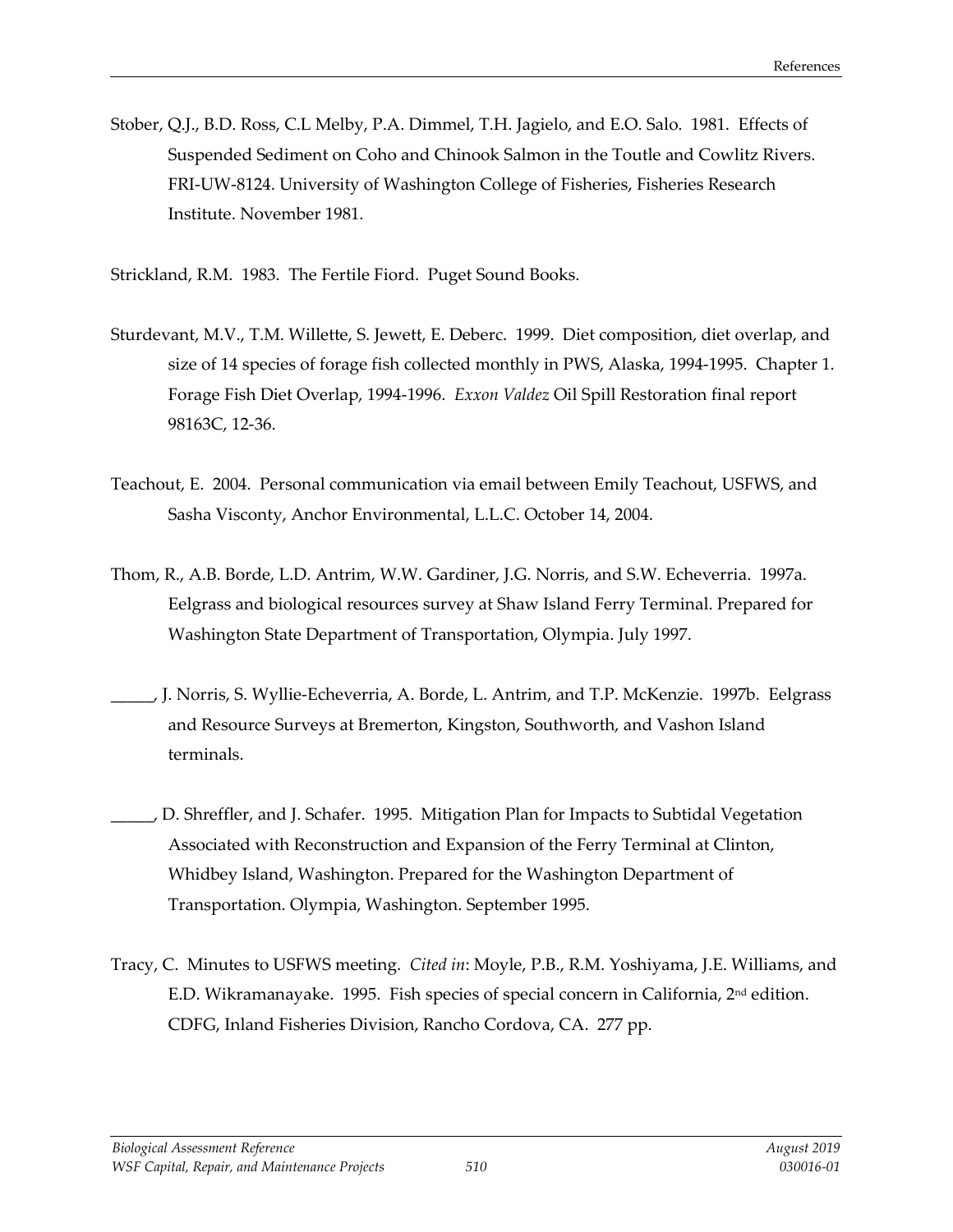Stober, Q.J., B.D. Ross, C.L Melby, P.A. Dimmel, T.H. Jagielo, and E.O. Salo. 1981. Effects of Suspended Sediment on Coho and Chinook Salmon in the Toutle and Cowlitz Rivers. FRI-UW-8124. University of Washington College of Fisheries, Fisheries Research Institute. November 1981.

Strickland, R.M. 1983. The Fertile Fiord. Puget Sound Books.

- Sturdevant, M.V., T.M. Willette, S. Jewett, E. Deberc. 1999. Diet composition, diet overlap, and size of 14 species of forage fish collected monthly in PWS, Alaska, 1994-1995. Chapter 1. Forage Fish Diet Overlap, 1994-1996. *Exxon Valdez* Oil Spill Restoration final report 98163C, 12-36.
- Teachout, E. 2004. Personal communication via email between Emily Teachout, USFWS, and Sasha Visconty, Anchor Environmental, L.L.C. October 14, 2004.
- Thom, R., A.B. Borde, L.D. Antrim, W.W. Gardiner, J.G. Norris, and S.W. Echeverria. 1997a. Eelgrass and biological resources survey at Shaw Island Ferry Terminal. Prepared for Washington State Department of Transportation, Olympia. July 1997.
- \_\_\_\_\_, J. Norris, S. Wyllie-Echeverria, A. Borde, L. Antrim, and T.P. McKenzie. 1997b. Eelgrass and Resource Surveys at Bremerton, Kingston, Southworth, and Vashon Island terminals.
- D. Shreffler, and J. Schafer. 1995. Mitigation Plan for Impacts to Subtidal Vegetation Associated with Reconstruction and Expansion of the Ferry Terminal at Clinton, Whidbey Island, Washington. Prepared for the Washington Department of Transportation. Olympia, Washington. September 1995.
- Tracy, C. Minutes to USFWS meeting. *Cited in*: Moyle, P.B., R.M. Yoshiyama, J.E. Williams, and E.D. Wikramanayake. 1995. Fish species of special concern in California,  $2<sup>nd</sup>$  edition. CDFG, Inland Fisheries Division, Rancho Cordova, CA. 277 pp.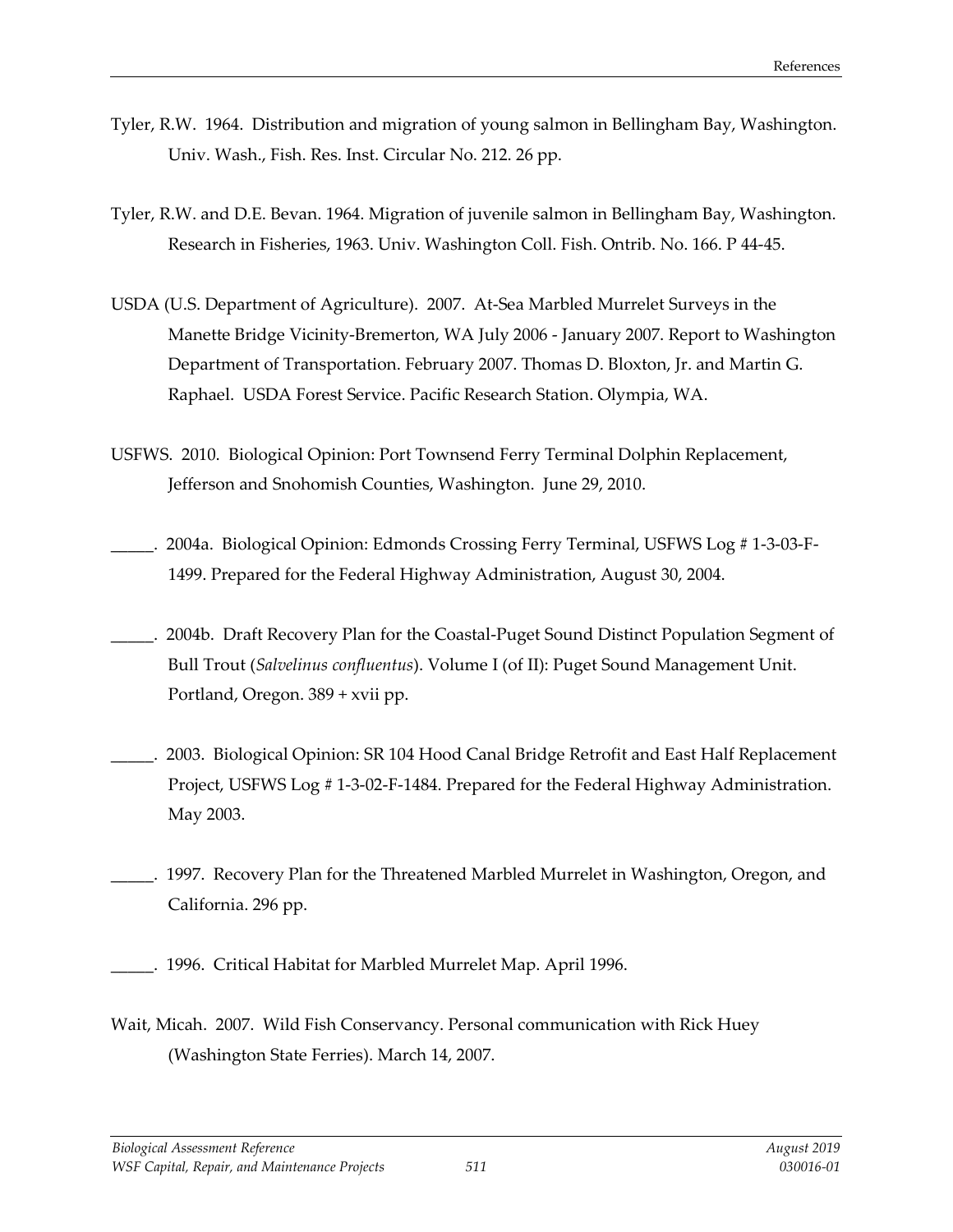- Tyler, R.W. 1964. Distribution and migration of young salmon in Bellingham Bay, Washington. Univ. Wash., Fish. Res. Inst. Circular No. 212. 26 pp.
- Tyler, R.W. and D.E. Bevan. 1964. Migration of juvenile salmon in Bellingham Bay, Washington. Research in Fisheries, 1963. Univ. Washington Coll. Fish. Ontrib. No. 166. P 44-45.
- USDA (U.S. Department of Agriculture). 2007. At-Sea Marbled Murrelet Surveys in the Manette Bridge Vicinity-Bremerton, WA July 2006 - January 2007. Report to Washington Department of Transportation. February 2007. Thomas D. Bloxton, Jr. and Martin G. Raphael. USDA Forest Service. Pacific Research Station. Olympia, WA.
- USFWS. 2010. Biological Opinion: Port Townsend Ferry Terminal Dolphin Replacement, Jefferson and Snohomish Counties, Washington. June 29, 2010.
- \_\_\_\_\_. 2004a. Biological Opinion: Edmonds Crossing Ferry Terminal, USFWS Log # 1-3-03-F-1499. Prepared for the Federal Highway Administration, August 30, 2004.
- \_\_\_\_\_. 2004b. Draft Recovery Plan for the Coastal-Puget Sound Distinct Population Segment of Bull Trout (*Salvelinus confluentus*). Volume I (of II): Puget Sound Management Unit. Portland, Oregon. 389 + xvii pp.
- \_\_\_\_\_. 2003. Biological Opinion: SR 104 Hood Canal Bridge Retrofit and East Half Replacement Project, USFWS Log # 1-3-02-F-1484. Prepared for the Federal Highway Administration. May 2003.
- 1997. Recovery Plan for the Threatened Marbled Murrelet in Washington, Oregon, and California. 296 pp.
- \_\_\_\_\_. 1996. Critical Habitat for Marbled Murrelet Map. April 1996.
- Wait, Micah. 2007. Wild Fish Conservancy. Personal communication with Rick Huey (Washington State Ferries). March 14, 2007.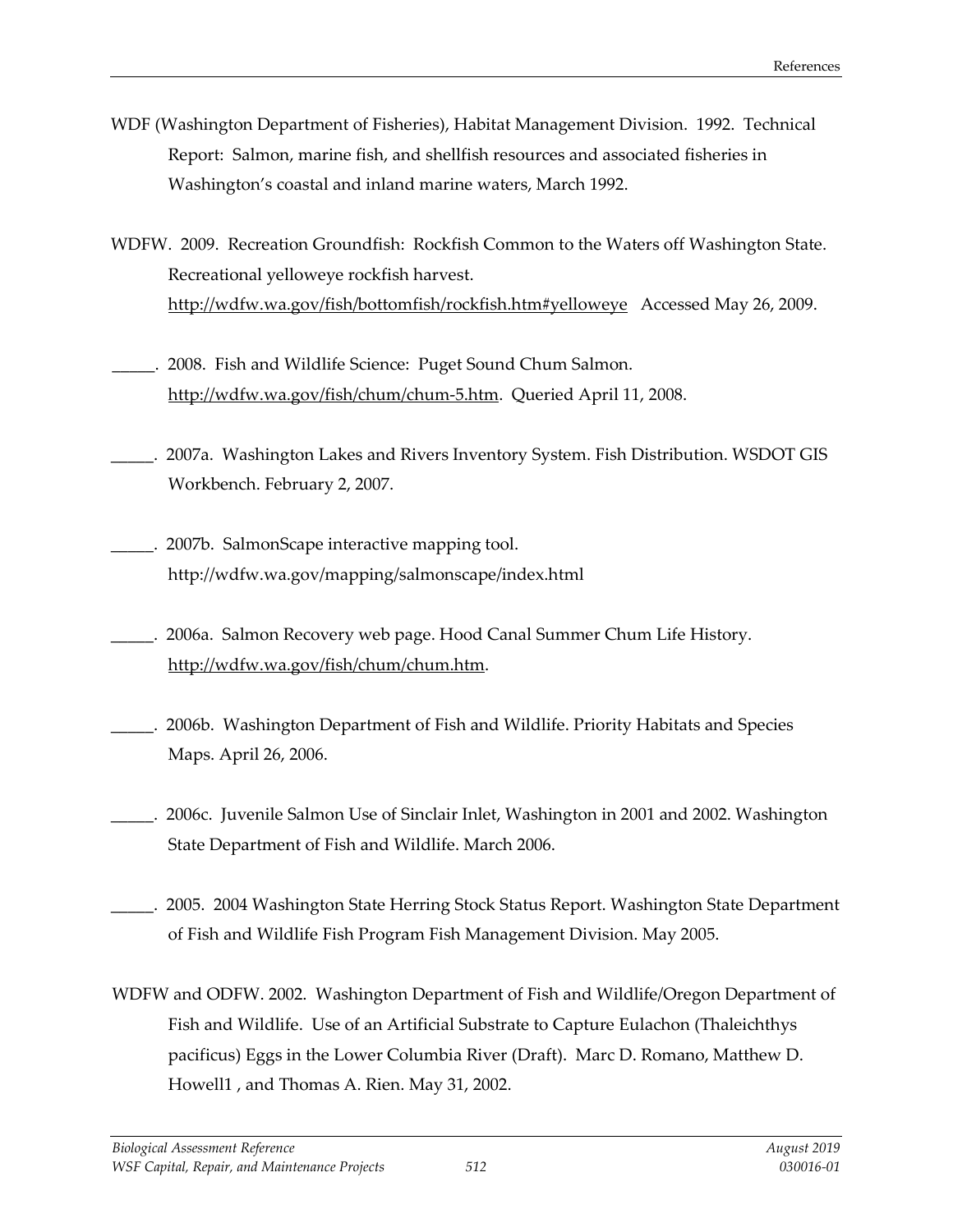- WDF (Washington Department of Fisheries), Habitat Management Division. 1992. Technical Report: Salmon, marine fish, and shellfish resources and associated fisheries in Washington's coastal and inland marine waters, March 1992.
- WDFW. 2009. Recreation Groundfish: Rockfish Common to the Waters off Washington State. Recreational yelloweye rockfish harvest. <http://wdfw.wa.gov/fish/bottomfish/rockfish.htm#yelloweye>Accessed May 26, 2009.
- \_\_\_\_\_. 2008. Fish and Wildlife Science: Puget Sound Chum Salmon. [http://wdfw.wa.gov/fish/chum/chum-5.htm.](http://wdfw.wa.gov/fish/chum/chum-5.htm) Queried April 11, 2008.
- \_\_\_\_\_. 2007a. Washington Lakes and Rivers Inventory System. Fish Distribution. WSDOT GIS Workbench. February 2, 2007.
- \_\_\_\_\_. 2007b. SalmonScape interactive mapping tool. http://wdfw.wa.gov/mapping/salmonscape/index.html
- \_\_\_\_\_. 2006a. Salmon Recovery web page. Hood Canal Summer Chum Life History. [http://wdfw.wa.gov/fish/chum/chum.htm.](http://wdfw.wa.gov/fish/chum/chum.htm)
- \_\_\_\_\_. 2006b. Washington Department of Fish and Wildlife. Priority Habitats and Species Maps. April 26, 2006.
- \_\_\_\_\_. 2006c. Juvenile Salmon Use of Sinclair Inlet, Washington in 2001 and 2002. Washington State Department of Fish and Wildlife. March 2006.
- \_\_\_\_\_. 2005. 2004 Washington State Herring Stock Status Report. Washington State Department of Fish and Wildlife Fish Program Fish Management Division. May 2005.
- WDFW and ODFW. 2002. Washington Department of Fish and Wildlife/Oregon Department of Fish and Wildlife. Use of an Artificial Substrate to Capture Eulachon (Thaleichthys pacificus) Eggs in the Lower Columbia River (Draft). Marc D. Romano, Matthew D. Howell1 , and Thomas A. Rien. May 31, 2002.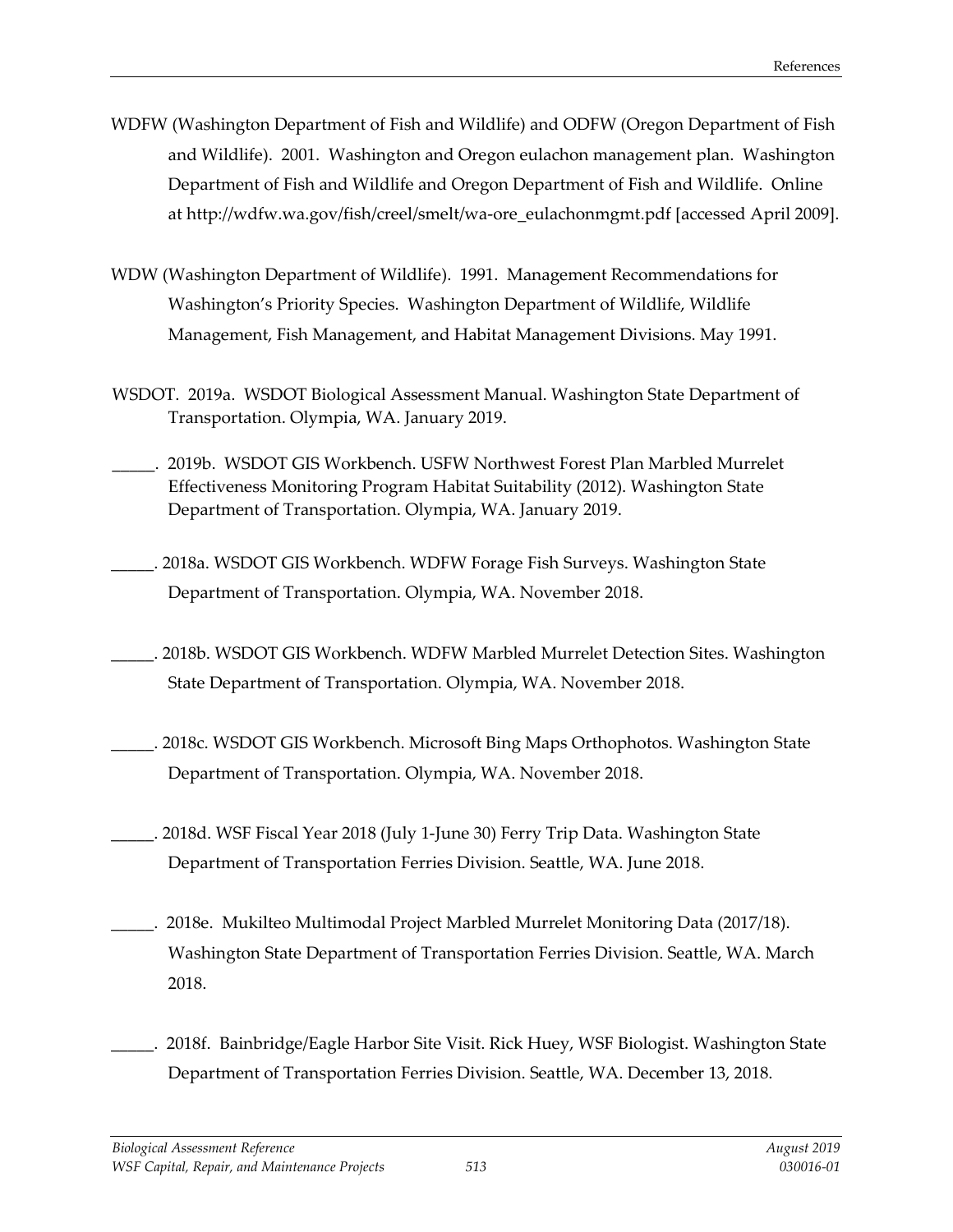- WDFW (Washington Department of Fish and Wildlife) and ODFW (Oregon Department of Fish and Wildlife). 2001. Washington and Oregon eulachon management plan. Washington Department of Fish and Wildlife and Oregon Department of Fish and Wildlife. Online at [http://wdfw.wa.gov/fish/creel/smelt/wa-ore\\_eulachonmgmt.pdf](http://wdfw.wa.gov/fish/creel/smelt/wa-ore_eulachonmgmt.pdf) [accessed April 2009].
- WDW (Washington Department of Wildlife). 1991. Management Recommendations for Washington's Priority Species. Washington Department of Wildlife, Wildlife Management, Fish Management, and Habitat Management Divisions. May 1991.
- WSDOT. 2019a. WSDOT Biological Assessment Manual. Washington State Department of Transportation. Olympia, WA. January 2019.
- \_\_\_\_\_. 2019b. WSDOT GIS Workbench. USFW Northwest Forest Plan Marbled Murrelet Effectiveness Monitoring Program Habitat Suitability (2012). Washington State Department of Transportation. Olympia, WA. January 2019.
- \_\_\_\_\_. 2018a. WSDOT GIS Workbench. WDFW Forage Fish Surveys. Washington State Department of Transportation. Olympia, WA. November 2018.
- \_\_\_\_\_. 2018b. WSDOT GIS Workbench. WDFW Marbled Murrelet Detection Sites. Washington State Department of Transportation. Olympia, WA. November 2018.
- \_\_\_\_\_. 2018c. WSDOT GIS Workbench. Microsoft Bing Maps Orthophotos. Washington State Department of Transportation. Olympia, WA. November 2018.
- \_\_\_\_\_. 2018d. WSF Fiscal Year 2018 (July 1-June 30) Ferry Trip Data. Washington State Department of Transportation Ferries Division. Seattle, WA. June 2018.
- 2018e. Mukilteo Multimodal Project Marbled Murrelet Monitoring Data (2017/18). Washington State Department of Transportation Ferries Division. Seattle, WA. March 2018.
- 2018f. Bainbridge/Eagle Harbor Site Visit. Rick Huey, WSF Biologist. Washington State Department of Transportation Ferries Division. Seattle, WA. December 13, 2018.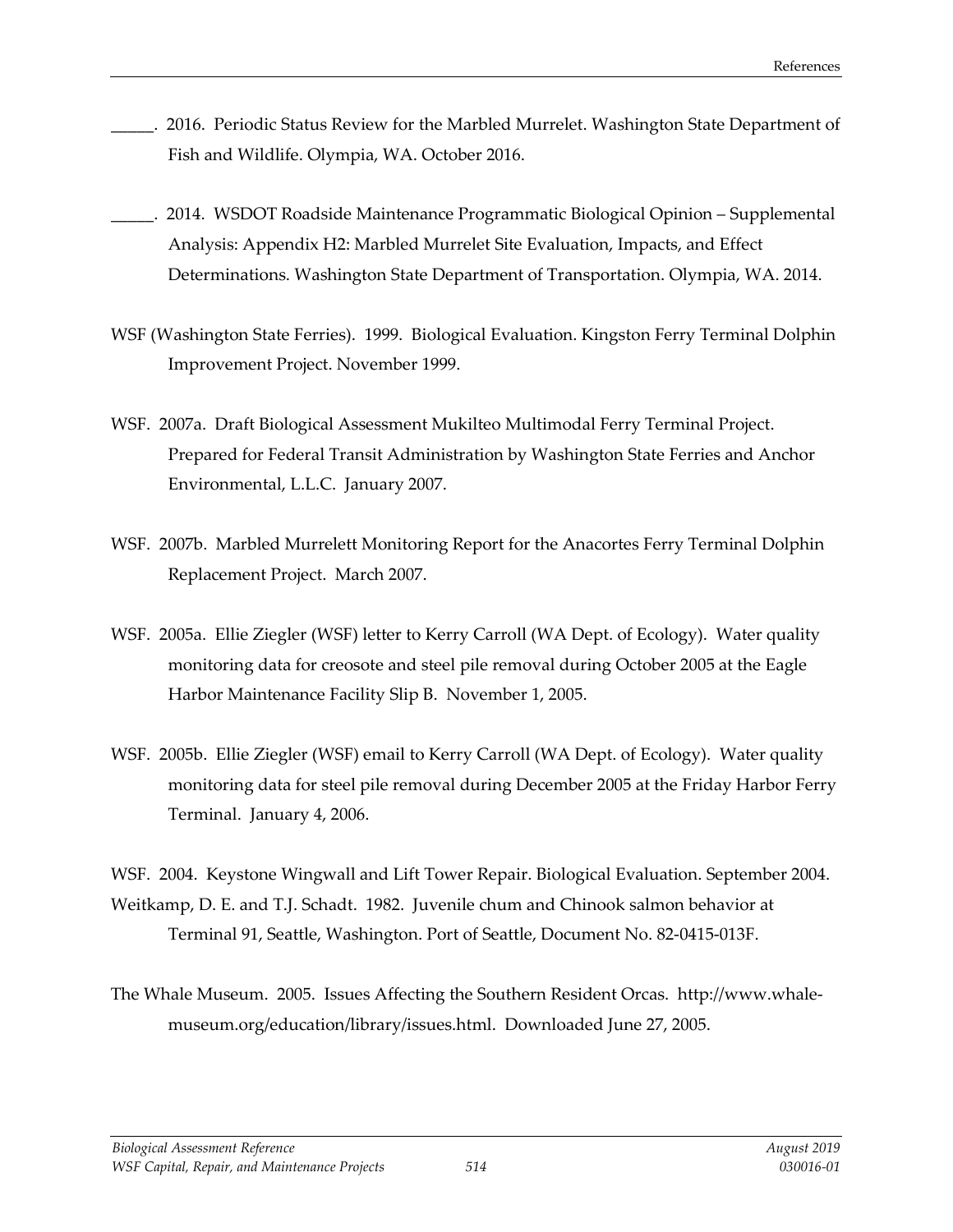- \_\_\_\_\_. 2016. Periodic Status Review for the Marbled Murrelet. Washington State Department of Fish and Wildlife. Olympia, WA. October 2016.
- \_\_\_\_\_. 2014. WSDOT Roadside Maintenance Programmatic Biological Opinion Supplemental Analysis: Appendix H2: Marbled Murrelet Site Evaluation, Impacts, and Effect Determinations. Washington State Department of Transportation. Olympia, WA. 2014.
- WSF (Washington State Ferries). 1999. Biological Evaluation. Kingston Ferry Terminal Dolphin Improvement Project. November 1999.
- WSF. 2007a. Draft Biological Assessment Mukilteo Multimodal Ferry Terminal Project. Prepared for Federal Transit Administration by Washington State Ferries and Anchor Environmental, L.L.C. January 2007.
- WSF. 2007b. Marbled Murrelett Monitoring Report for the Anacortes Ferry Terminal Dolphin Replacement Project. March 2007.
- WSF. 2005a. Ellie Ziegler (WSF) letter to Kerry Carroll (WA Dept. of Ecology). Water quality monitoring data for creosote and steel pile removal during October 2005 at the Eagle Harbor Maintenance Facility Slip B. November 1, 2005.
- WSF. 2005b. Ellie Ziegler (WSF) email to Kerry Carroll (WA Dept. of Ecology). Water quality monitoring data for steel pile removal during December 2005 at the Friday Harbor Ferry Terminal. January 4, 2006.

WSF. 2004. Keystone Wingwall and Lift Tower Repair. Biological Evaluation. September 2004. Weitkamp, D. E. and T.J. Schadt. 1982. Juvenile chum and Chinook salmon behavior at Terminal 91, Seattle, Washington. Port of Seattle, Document No. 82-0415-013F.

The Whale Museum. 2005. Issues Affecting the Southern Resident Orcas. http://www.whalemuseum.org/education/library/issues.html. Downloaded June 27, 2005.